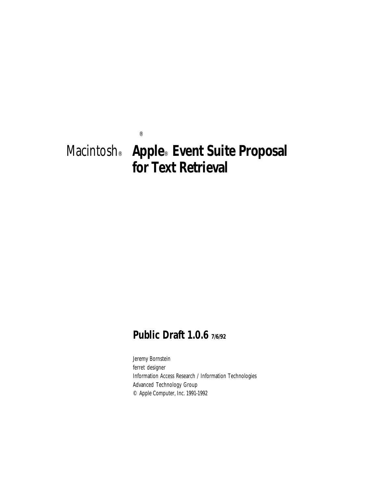# Macintosh® **Apple**® **Event Suite Proposal for Text Retrieval**

®

## **Public Draft 1.0.6 7/6/92**

Jeremy Bornstein ferret designer Information Access Research / Information Technologies Advanced Technology Group © Apple Computer, Inc. 1991-1992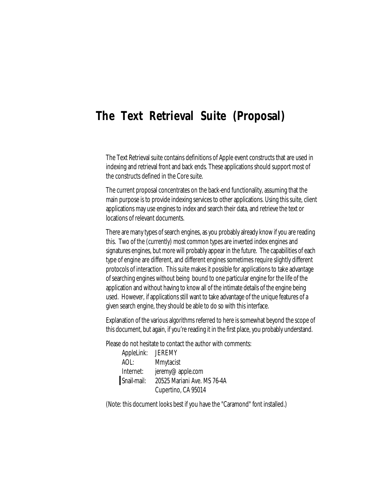## **The Text Retrieval Suite (Proposal)**

The Text Retrieval suite contains definitions of Apple event constructs that are used in indexing and retrieval front and back ends. These applications should support most of the constructs defined in the Core suite.

The current proposal concentrates on the back-end functionality, assuming that the main purpose is to provide indexing services to other applications. Using this suite, client applications may use engines to index and search their data, and retrieve the text or locations of relevant documents.

There are many types of search engines, as you probably already know if you are reading this. Two of the (currently) most common types are inverted index engines and signatures engines, but more will probably appear in the future. The capabilities of each type of engine are different, and different engines sometimes require slightly different protocols of interaction. This suite makes it possible for applications to take advantage of searching engines without being bound to one particular engine for the life of the application and without having to know all of the intimate details of the engine being used. However, if applications still want to take advantage of the unique features of a given search engine, they should be able to do so with this interface.

Explanation of the various algorithms referred to here is somewhat beyond the scope of this document, but again, if you're reading it in the first place, you probably understand.

Please do not hesitate to contact the author with comments:

| AppleLink:  | <b>JEREMY</b>               |
|-------------|-----------------------------|
| AOL:        | Mmytacist                   |
| Internet:   | jeremy@apple.com            |
| Snail-mail: | 20525 Mariani Ave. MS 76-4A |
|             | Cupertino, CA 95014         |

(Note: this document looks best if you have the "Caramond" font installed.)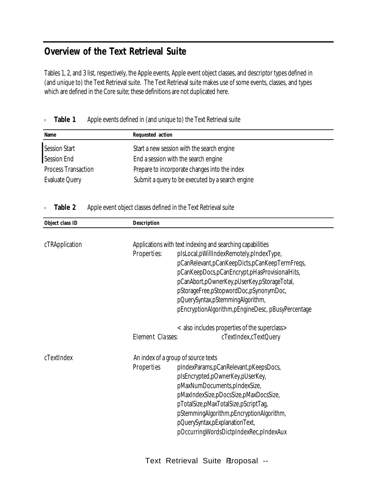## **Overview of the Text Retrieval Suite**

Tables 1, 2, and 3 list, respectively, the Apple events, Apple event object classes, and descriptor types defined in (and unique to) the Text Retrieval suite. The Text Retrieval suite makes use of some events, classes, and types which are defined in the Core suite; these definitions are not duplicated here.

| Name                       | Requested action                                 |
|----------------------------|--------------------------------------------------|
| Session Start              | Start a new session with the search engine       |
| Session End                | End a session with the search engine             |
| <b>Process Transaction</b> | Prepare to incorporate changes into the index    |
| <b>Evaluate Query</b>      | Submit a query to be executed by a search engine |

### **Table 1** Apple events defined in (and unique to) the Text Retrieval suite

#### n **Table 2** Apple event object classes defined in the Text Retrieval suite

| Object class ID | Description      |                                                                                                                                                                                                                                                                                                                                                                                                  |
|-----------------|------------------|--------------------------------------------------------------------------------------------------------------------------------------------------------------------------------------------------------------------------------------------------------------------------------------------------------------------------------------------------------------------------------------------------|
| cTRApplication  | Properties:      | Applications with text indexing and searching capabilities<br>plsLocal, pWillIndexRemotely, pIndexType,<br>pCanRelevant, pCanKeepDicts, pCanKeepTermFreqs,<br>pCanKeepDocs,pCanEncrypt,pHasProvisionalHits,<br>pCanAbort, pOwnerKey, pUserKey, pStorageTotal,<br>pStorageFree,pStopwordDoc,pSynonymDoc,<br>pQuerySyntax,pStemmingAlgorithm,<br>pEncryptionAlgorithm,pEngineDesc, pBusyPercentage |
|                 | Element Classes: | < also includes properties of the superclass ><br>cTextIndex, cTextQuery                                                                                                                                                                                                                                                                                                                         |
| cTextIndex      | Properties       | An index of a group of source texts<br>pIndexParams, pCanRelevant, pKeepsDocs,<br>pIsEncrypted, pOwnerKey, pUserKey,<br>pMaxNumDocuments, pIndexSize,<br>pMaxIndexSize,pDocsSize,pMaxDocsSize,<br>pTotalSize,pMaxTotalSize,pScriptTag,<br>pStemmingAlgorithm,pEncryptionAlgorithm,<br>pQuerySyntax, pExplanationText,<br>pOccurringWordsDictpIndexRec,pIndexAux                                  |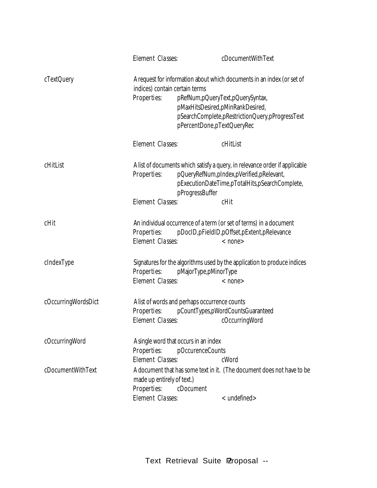|                     | Element Classes:                                                         | cDocumentWithText                                                                                                                                                                                                                |
|---------------------|--------------------------------------------------------------------------|----------------------------------------------------------------------------------------------------------------------------------------------------------------------------------------------------------------------------------|
| cTextQuery          | indices) contain certain terms<br>Properties:                            | A request for information about which documents in an index (or set of<br>pRefNum,pQueryText,pQuerySyntax,<br>pMaxHitsDesired,pMinRankDesired,<br>pSearchComplete,pRestrictionQuery,pProgressText<br>pPercentDone, pTextQueryRec |
|                     | Element Classes:                                                         | cHitList                                                                                                                                                                                                                         |
| cHitList            | Properties:                                                              | A list of documents which satisfy a query, in relevance order if applicable<br>pQueryRefNum,pIndex,pVerified,pRelevant,<br>pExecutionDateTime,pTotalHits,pSearchComplete,<br>pProgressBuffer                                     |
|                     | Element Classes:                                                         | cHit                                                                                                                                                                                                                             |
| cHit                | Properties:<br>Element Classes:                                          | An individual occurrence of a term (or set of terms) in a document<br>pDocID, pFieldID, pOffset, pExtent, pRelevance<br>$<$ none $>$                                                                                             |
| cIndexType          | Properties: pMajorType,pMinorType<br>Element Classes:                    | Signatures for the algorithms used by the application to produce indices<br>$<$ none $>$                                                                                                                                         |
| cOccurringWordsDict | A list of words and perhaps occurrence counts<br>Element Classes:        | Properties: pCountTypes,pWordCountsGuaranteed<br>cOccurringWord                                                                                                                                                                  |
| cOccurringWord      | A single word that occurs in an index<br>Properties:<br>Element Classes: | pOccurenceCounts<br>cWord                                                                                                                                                                                                        |
| cDocumentWithText   | made up entirely of text.)<br>Properties:<br>Element Classes:            | A document that has some text in it. (The document does not have to be<br>cDocument<br>$<$ undefined $>$                                                                                                                         |
|                     |                                                                          |                                                                                                                                                                                                                                  |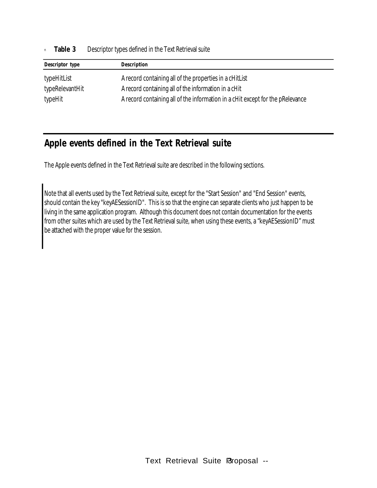**Table 3** Descriptor types defined in the Text Retrieval suite

| Descriptor type | Description                                                                    |
|-----------------|--------------------------------------------------------------------------------|
| typeHitList     | A record containing all of the properties in a cHitList                        |
| typeRelevantHit | A record containing all of the information in a cHit                           |
| typeHit         | A record containing all of the information in a cHit except for the pRelevance |

### **Apple events defined in the Text Retrieval suite**

The Apple events defined in the Text Retrieval suite are described in the following sections.

Note that all events used by the Text Retrieval suite, except for the "Start Session" and "End Session" events, should contain the key "keyAESessionID". This is so that the engine can separate clients who just happen to be living in the same application program. Although this document does not contain documentation for the events from other suites which are used by the Text Retrieval suite, when using these events, a "keyAESessionID" must be attached with the proper value for the session.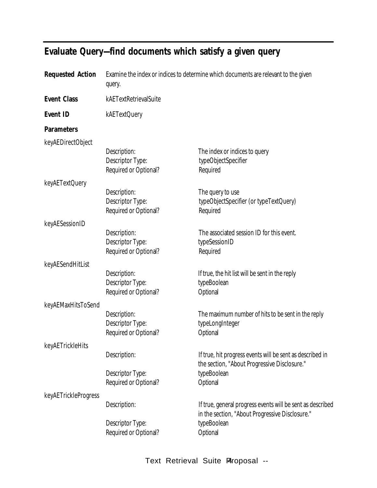| <b>Requested Action</b> | Examine the index or indices to determine which documents are relevant to the given<br>query. |                                                                                                               |
|-------------------------|-----------------------------------------------------------------------------------------------|---------------------------------------------------------------------------------------------------------------|
| <b>Event Class</b>      | kAETextRetrievalSuite                                                                         |                                                                                                               |
| <b>Event ID</b>         | kAETextQuery                                                                                  |                                                                                                               |
| <b>Parameters</b>       |                                                                                               |                                                                                                               |
| keyAEDirectObject       |                                                                                               |                                                                                                               |
|                         | Description:<br>Descriptor Type:<br>Required or Optional?                                     | The index or indices to query<br>typeObjectSpecifier<br>Required                                              |
| keyAETextQuery          |                                                                                               |                                                                                                               |
|                         | Description:<br>Descriptor Type:<br>Required or Optional?                                     | The query to use<br>typeObjectSpecifier (or typeTextQuery)<br>Required                                        |
| keyAESessionID          |                                                                                               |                                                                                                               |
|                         | Description:<br>Descriptor Type:<br>Required or Optional?                                     | The associated session ID for this event.<br>typeSessionID<br>Required                                        |
| keyAESendHitList        |                                                                                               |                                                                                                               |
|                         | Description:<br>Descriptor Type:<br>Required or Optional?                                     | If true, the hit list will be sent in the reply<br>typeBoolean<br>Optional                                    |
| keyAEMaxHitsToSend      |                                                                                               |                                                                                                               |
|                         | Description:<br>Descriptor Type:<br>Required or Optional?                                     | The maximum number of hits to be sent in the reply<br>typeLongInteger<br>Optional                             |
| keyAETrickleHits        |                                                                                               |                                                                                                               |
|                         | Description:                                                                                  | If true, hit progress events will be sent as described in<br>the section, "About Progressive Disclosure."     |
|                         | Descriptor Type:<br>Required or Optional?                                                     | typeBoolean<br>Optional                                                                                       |
| keyAETrickleProgress    | Description:                                                                                  | If true, general progress events will be sent as described<br>in the section, "About Progressive Disclosure." |
|                         | Descriptor Type:<br>Required or Optional?                                                     | typeBoolean<br>Optional                                                                                       |
|                         |                                                                                               |                                                                                                               |

## **Evaluate Query—find documents which satisfy a given query**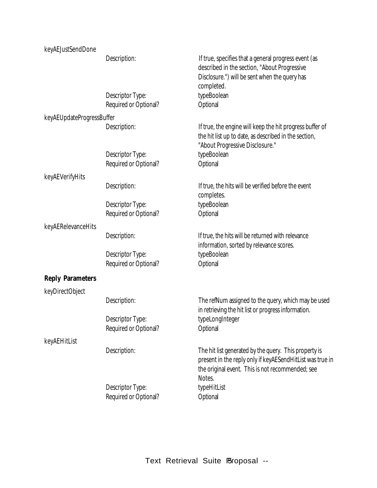| keyAEJustSendDone         |                                           |                                                                                                                                                                                  |
|---------------------------|-------------------------------------------|----------------------------------------------------------------------------------------------------------------------------------------------------------------------------------|
|                           | Description:                              | If true, specifies that a general progress event (as<br>described in the section, "About Progressive<br>Disclosure.") will be sent when the query has<br>completed.              |
|                           | Descriptor Type:<br>Required or Optional? | typeBoolean<br>Optional                                                                                                                                                          |
| keyAEUpdateProgressBuffer |                                           |                                                                                                                                                                                  |
|                           | Description:                              | If true, the engine will keep the hit progress buffer of<br>the hit list up to date, as described in the section,<br>"About Progressive Disclosure."                             |
|                           | Descriptor Type:<br>Required or Optional? | typeBoolean<br>Optional                                                                                                                                                          |
| keyAEVerifyHits           |                                           |                                                                                                                                                                                  |
|                           | Description:                              | If true, the hits will be verified before the event<br>completes.                                                                                                                |
|                           | Descriptor Type:<br>Required or Optional? | typeBoolean<br>Optional                                                                                                                                                          |
| keyAERelevanceHits        |                                           |                                                                                                                                                                                  |
|                           | Description:                              | If true, the hits will be returned with relevance<br>information, sorted by relevance scores.                                                                                    |
|                           | Descriptor Type:<br>Required or Optional? | typeBoolean<br>Optional                                                                                                                                                          |
| <b>Reply Parameters</b>   |                                           |                                                                                                                                                                                  |
| keyDirectObject           |                                           |                                                                                                                                                                                  |
|                           | Description:                              | The refNum assigned to the query, which may be used<br>in retrieving the hit list or progress information.                                                                       |
|                           | Descriptor Type:<br>Required or Optional? | typeLongInteger<br>Optional                                                                                                                                                      |
| keyAEHitList              |                                           |                                                                                                                                                                                  |
|                           | Description:                              | The hit list generated by the query. This property is<br>present in the reply only if keyAESendHitList was true in<br>the original event. This is not recommended; see<br>Notes. |
|                           | Descriptor Type:<br>Required or Optional? | typeHitList<br>Optional                                                                                                                                                          |
|                           |                                           |                                                                                                                                                                                  |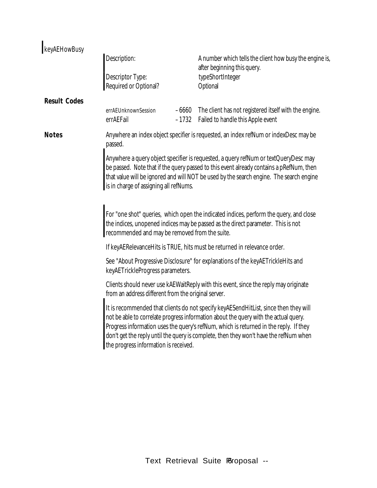| keyAEHowBusy        |                                                                                          |         |                                                                                                                                                                                                                                                                                                                                                                                                                                                         |
|---------------------|------------------------------------------------------------------------------------------|---------|---------------------------------------------------------------------------------------------------------------------------------------------------------------------------------------------------------------------------------------------------------------------------------------------------------------------------------------------------------------------------------------------------------------------------------------------------------|
|                     | Description:                                                                             |         | A number which tells the client how busy the engine is,                                                                                                                                                                                                                                                                                                                                                                                                 |
|                     | Descriptor Type:<br>Required or Optional?                                                |         | after beginning this query.<br>typeShortInteger<br>Optional                                                                                                                                                                                                                                                                                                                                                                                             |
| <b>Result Codes</b> |                                                                                          |         |                                                                                                                                                                                                                                                                                                                                                                                                                                                         |
|                     | errAEUnknownSession<br>errAEFail                                                         | $-1732$ | -6660 The client has not registered itself with the engine.<br>Failed to handle this Apple event                                                                                                                                                                                                                                                                                                                                                        |
| <b>Notes</b>        | passed.                                                                                  |         | Anywhere an index object specifier is requested, an index refNum or indexDesc may be                                                                                                                                                                                                                                                                                                                                                                    |
|                     | is in charge of assigning all refNums.<br>recommended and may be removed from the suite. |         | Anywhere a query object specifier is requested, a query refNum or textQueryDesc may<br>be passed. Note that if the query passed to this event already contains a pRefNum, then<br>that value will be ignored and will NOT be used by the search engine. The search engine<br>For "one shot" queries, which open the indicated indices, perform the query, and close<br>the indices, unopened indices may be passed as the direct parameter. This is not |
|                     |                                                                                          |         | If keyAERelevanceHits is TRUE, hits must be returned in relevance order.                                                                                                                                                                                                                                                                                                                                                                                |
|                     | keyAETrickleProgress parameters.                                                         |         | See "About Progressive Disclosure" for explanations of the keyAETrickleHits and                                                                                                                                                                                                                                                                                                                                                                         |
|                     | from an address different from the original server.                                      |         | Clients should never use kAEWaitReply with this event, since the reply may originate                                                                                                                                                                                                                                                                                                                                                                    |
|                     | the progress information is received.                                                    |         | It is recommended that clients do not specify keyAESendHitList, since then they will<br>not be able to correlate progress information about the query with the actual query.<br>Progress information uses the query's refNum, which is returned in the reply. If they<br>don't get the reply until the query is complete, then they won't have the refNum when                                                                                          |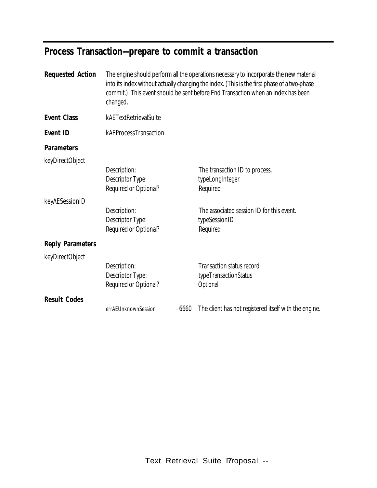## **Process Transaction—prepare to commit a transaction**

| <b>Requested Action</b> | changed.                                                  |         | The engine should perform all the operations necessary to incorporate the new material<br>into its index without actually changing the index. (This is the first phase of a two-phase<br>commit.) This event should be sent before End Transaction when an index has been |
|-------------------------|-----------------------------------------------------------|---------|---------------------------------------------------------------------------------------------------------------------------------------------------------------------------------------------------------------------------------------------------------------------------|
| <b>Event Class</b>      | kAETextRetrievalSuite                                     |         |                                                                                                                                                                                                                                                                           |
| <b>Event ID</b>         | kAEProcessTransaction                                     |         |                                                                                                                                                                                                                                                                           |
| <b>Parameters</b>       |                                                           |         |                                                                                                                                                                                                                                                                           |
| keyDirectObject         |                                                           |         |                                                                                                                                                                                                                                                                           |
|                         | Description:<br>Descriptor Type:<br>Required or Optional? |         | The transaction ID to process.<br>typeLongInteger<br>Required                                                                                                                                                                                                             |
| keyAESessionID          |                                                           |         |                                                                                                                                                                                                                                                                           |
|                         | Description:<br>Descriptor Type:<br>Required or Optional? |         | The associated session ID for this event.<br>typeSessionID<br>Required                                                                                                                                                                                                    |
| <b>Reply Parameters</b> |                                                           |         |                                                                                                                                                                                                                                                                           |
| keyDirectObject         |                                                           |         |                                                                                                                                                                                                                                                                           |
|                         | Description:<br>Descriptor Type:<br>Required or Optional? |         | <b>Transaction status record</b><br>typeTransactionStatus<br>Optional                                                                                                                                                                                                     |
| <b>Result Codes</b>     |                                                           |         |                                                                                                                                                                                                                                                                           |
|                         | errAEUnknownSession                                       | $-6660$ | The client has not registered itself with the engine.                                                                                                                                                                                                                     |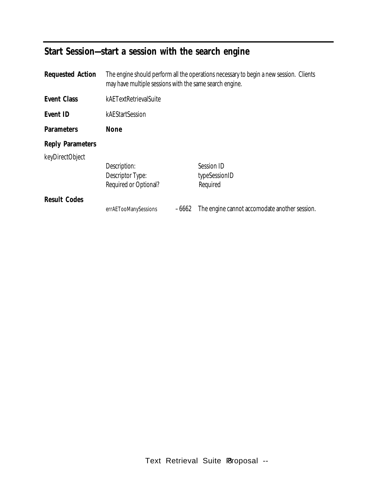## **Start Session—start a session with the search engine**

| <b>Requested Action</b> | The engine should perform all the operations necessary to begin a new session. Clients<br>may have multiple sessions with the same search engine. |         |                                                           |
|-------------------------|---------------------------------------------------------------------------------------------------------------------------------------------------|---------|-----------------------------------------------------------|
| Event Class             | kAETextRetrievalSuite                                                                                                                             |         |                                                           |
| Event ID                | kAEStartSession                                                                                                                                   |         |                                                           |
| <b>Parameters</b>       | None                                                                                                                                              |         |                                                           |
| <b>Reply Parameters</b> |                                                                                                                                                   |         |                                                           |
| keyDirectObject         | Description:<br>Descriptor Type:                                                                                                                  |         | Session ID<br>typeSessionID                               |
| <b>Result Codes</b>     | Required or Optional?<br>errAETooManySessions                                                                                                     | $-6662$ | Required<br>The engine cannot accomodate another session. |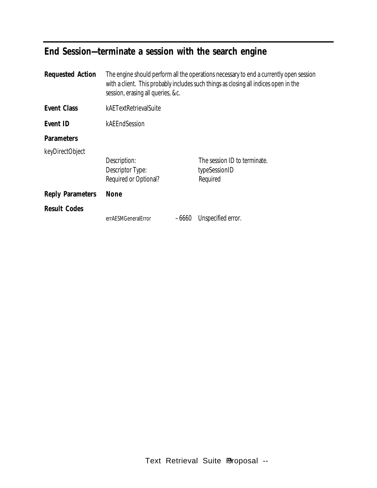## **End Session—terminate a session with the search engine**

|                       |                                           | The engine should perform all the operations necessary to end a currently open session<br>with a client. This probably includes such things as closing all indices open in the |
|-----------------------|-------------------------------------------|--------------------------------------------------------------------------------------------------------------------------------------------------------------------------------|
| kAETextRetrievalSuite |                                           |                                                                                                                                                                                |
| kAEEndSession         |                                           |                                                                                                                                                                                |
|                       |                                           |                                                                                                                                                                                |
|                       |                                           |                                                                                                                                                                                |
| Description:          |                                           | The session ID to terminate.                                                                                                                                                   |
|                       |                                           | typeSessionID                                                                                                                                                                  |
|                       |                                           | Required                                                                                                                                                                       |
| <b>None</b>           |                                           |                                                                                                                                                                                |
|                       |                                           |                                                                                                                                                                                |
| errAESMGeneralError   | $-6660$                                   | Unspecified error.                                                                                                                                                             |
|                       | Descriptor Type:<br>Required or Optional? | session, erasing all queries, &c.                                                                                                                                              |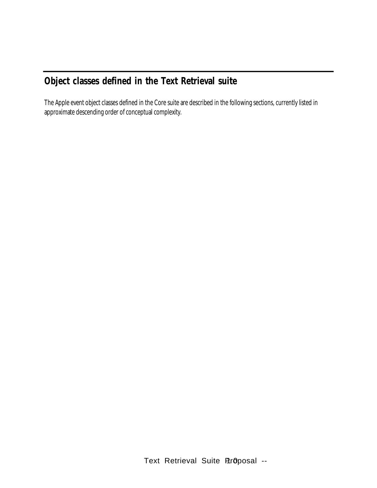## **Object classes defined in the Text Retrieval suite**

The Apple event object classes defined in the Core suite are described in the following sections, currently listed in approximate descending order of conceptual complexity.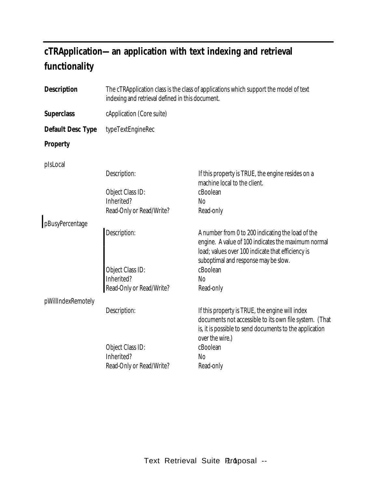## **cTRApplication— an application with text indexing and retrieval functionality**

| <b>Description</b> | The cTRApplication class is the class of applications which support the model of text<br>indexing and retrieval defined in this document. |                                                                                                                                                                                                       |  |
|--------------------|-------------------------------------------------------------------------------------------------------------------------------------------|-------------------------------------------------------------------------------------------------------------------------------------------------------------------------------------------------------|--|
| <b>Superclass</b>  | cApplication (Core suite)                                                                                                                 |                                                                                                                                                                                                       |  |
| Default Desc Type  | typeTextEngineRec                                                                                                                         |                                                                                                                                                                                                       |  |
| Property           |                                                                                                                                           |                                                                                                                                                                                                       |  |
| pIsLocal           |                                                                                                                                           |                                                                                                                                                                                                       |  |
|                    | Description:                                                                                                                              | If this property is TRUE, the engine resides on a<br>machine local to the client.                                                                                                                     |  |
|                    | Object Class ID:                                                                                                                          | cBoolean                                                                                                                                                                                              |  |
|                    | Inherited?                                                                                                                                | <b>No</b>                                                                                                                                                                                             |  |
|                    | Read-Only or Read/Write?                                                                                                                  | Read-only                                                                                                                                                                                             |  |
| pBusyPercentage    |                                                                                                                                           |                                                                                                                                                                                                       |  |
|                    | Description:                                                                                                                              | A number from 0 to 200 indicating the load of the<br>engine. A value of 100 indicates the maximum normal<br>load; values over 100 indicate that efficiency is<br>suboptimal and response may be slow. |  |
|                    | Object Class ID:                                                                                                                          | cBoolean                                                                                                                                                                                              |  |
|                    | Inherited?                                                                                                                                | N <sub>o</sub>                                                                                                                                                                                        |  |
|                    | Read-Only or Read/Write?                                                                                                                  | Read-only                                                                                                                                                                                             |  |
| pWillIndexRemotely |                                                                                                                                           |                                                                                                                                                                                                       |  |
|                    | Description:                                                                                                                              | If this property is TRUE, the engine will index<br>documents not accessible to its own file system. (That<br>is, it is possible to send documents to the application<br>over the wire.)               |  |
|                    | Object Class ID:                                                                                                                          | cBoolean                                                                                                                                                                                              |  |
|                    | Inherited?                                                                                                                                | N <sub>o</sub>                                                                                                                                                                                        |  |
|                    | Read-Only or Read/Write?                                                                                                                  | Read-only                                                                                                                                                                                             |  |
|                    |                                                                                                                                           |                                                                                                                                                                                                       |  |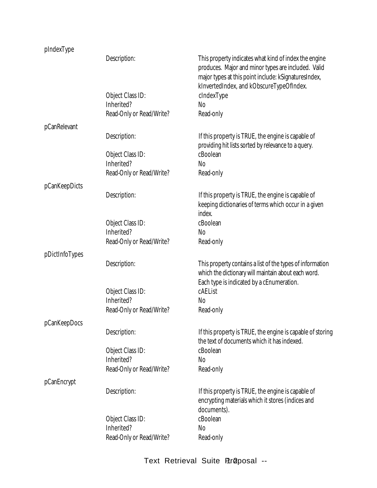### pIndexType

|                | Description:             | This property indicates what kind of index the engine<br>produces. Major and minor types are included. Valid<br>major types at this point include: kSignaturesIndex,<br>kInvertedIndex, and kObscureTypeOfIndex. |
|----------------|--------------------------|------------------------------------------------------------------------------------------------------------------------------------------------------------------------------------------------------------------|
|                | Object Class ID:         | cIndexType                                                                                                                                                                                                       |
|                | Inherited?               | N <sub>0</sub>                                                                                                                                                                                                   |
|                | Read-Only or Read/Write? | Read-only                                                                                                                                                                                                        |
| pCanRelevant   |                          |                                                                                                                                                                                                                  |
|                | Description:             | If this property is TRUE, the engine is capable of<br>providing hit lists sorted by relevance to a query.                                                                                                        |
|                | Object Class ID:         | cBoolean                                                                                                                                                                                                         |
|                | Inherited?               | N <sub>o</sub>                                                                                                                                                                                                   |
|                | Read-Only or Read/Write? | Read-only                                                                                                                                                                                                        |
| pCanKeepDicts  |                          |                                                                                                                                                                                                                  |
|                | Description:             | If this property is TRUE, the engine is capable of<br>keeping dictionaries of terms which occur in a given<br>index.                                                                                             |
|                | Object Class ID:         | cBoolean                                                                                                                                                                                                         |
|                | Inherited?               | No                                                                                                                                                                                                               |
|                | Read-Only or Read/Write? | Read-only                                                                                                                                                                                                        |
| pDictInfoTypes |                          |                                                                                                                                                                                                                  |
|                | Description:             | This property contains a list of the types of information<br>which the dictionary will maintain about each word.<br>Each type is indicated by a cEnumeration.                                                    |
|                | Object Class ID:         | cAEList                                                                                                                                                                                                          |
|                | Inherited?               | <b>No</b>                                                                                                                                                                                                        |
|                | Read-Only or Read/Write? | Read-only                                                                                                                                                                                                        |
| pCanKeepDocs   |                          |                                                                                                                                                                                                                  |
|                | Description:             | If this property is TRUE, the engine is capable of storing<br>the text of documents which it has indexed.                                                                                                        |
|                | Object Class ID:         | cBoolean                                                                                                                                                                                                         |
|                | Inherited?               | N <sub>0</sub>                                                                                                                                                                                                   |
|                | Read-Only or Read/Write? | Read-only                                                                                                                                                                                                        |
| pCanEncrypt    |                          |                                                                                                                                                                                                                  |
|                | Description:             | If this property is TRUE, the engine is capable of<br>encrypting materials which it stores (indices and<br>documents).                                                                                           |
|                | Object Class ID:         | cBoolean                                                                                                                                                                                                         |
|                | Inherited?               | No                                                                                                                                                                                                               |
|                | Read-Only or Read/Write? | Read-only                                                                                                                                                                                                        |
|                |                          |                                                                                                                                                                                                                  |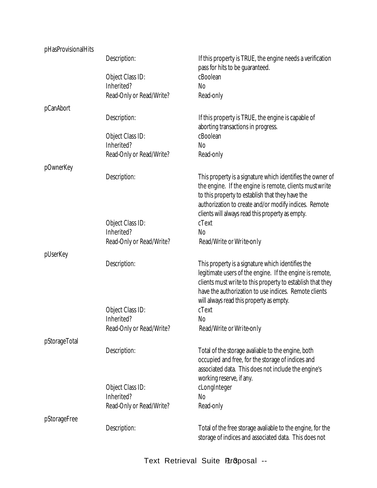| pHasProvisionalHits |                          |                                                                                                                                                                                                                                                                                        |
|---------------------|--------------------------|----------------------------------------------------------------------------------------------------------------------------------------------------------------------------------------------------------------------------------------------------------------------------------------|
|                     | Description:             | If this property is TRUE, the engine needs a verification<br>pass for hits to be guaranteed.                                                                                                                                                                                           |
|                     | Object Class ID:         | cBoolean                                                                                                                                                                                                                                                                               |
|                     | Inherited?               | <b>No</b>                                                                                                                                                                                                                                                                              |
|                     | Read-Only or Read/Write? | Read-only                                                                                                                                                                                                                                                                              |
|                     |                          |                                                                                                                                                                                                                                                                                        |
| pCanAbort           | Description:             | If this property is TRUE, the engine is capable of<br>aborting transactions in progress.                                                                                                                                                                                               |
|                     | Object Class ID:         | cBoolean                                                                                                                                                                                                                                                                               |
|                     | Inherited?               | <b>No</b>                                                                                                                                                                                                                                                                              |
|                     |                          |                                                                                                                                                                                                                                                                                        |
|                     | Read-Only or Read/Write? | Read-only                                                                                                                                                                                                                                                                              |
| pOwnerKey           |                          |                                                                                                                                                                                                                                                                                        |
|                     | Description:             | This property is a signature which identifies the owner of<br>the engine. If the engine is remote, clients must write<br>to this property to establish that they have the<br>authorization to create and/or modify indices. Remote<br>clients will always read this property as empty. |
|                     | Object Class ID:         | cText                                                                                                                                                                                                                                                                                  |
|                     | Inherited?               | No                                                                                                                                                                                                                                                                                     |
|                     | Read-Only or Read/Write? | Read/Write or Write-only                                                                                                                                                                                                                                                               |
|                     |                          |                                                                                                                                                                                                                                                                                        |
| pUserKey            | Description:             | This property is a signature which identifies the<br>legitimate users of the engine. If the engine is remote,<br>clients must write to this property to establish that they<br>have the authorization to use indices. Remote clients<br>will always read this property as empty.       |
|                     | Object Class ID:         | cText                                                                                                                                                                                                                                                                                  |
|                     | Inherited?               | N <sub>0</sub>                                                                                                                                                                                                                                                                         |
|                     | Read-Only or Read/Write? | Read/Write or Write-only                                                                                                                                                                                                                                                               |
|                     |                          |                                                                                                                                                                                                                                                                                        |
| pStorageTotal       |                          |                                                                                                                                                                                                                                                                                        |
|                     | Description:             | Total of the storage avaliable to the engine, both<br>occupied and free, for the storage of indices and<br>associated data. This does not include the engine's<br>working reserve, if any.                                                                                             |
|                     | Object Class ID:         | cLongInteger                                                                                                                                                                                                                                                                           |
|                     | Inherited?               | No                                                                                                                                                                                                                                                                                     |
|                     | Read-Only or Read/Write? | Read-only                                                                                                                                                                                                                                                                              |
|                     |                          |                                                                                                                                                                                                                                                                                        |
| pStorageFree        | Description:             | Total of the free storage avaliable to the engine, for the<br>storage of indices and associated data. This does not                                                                                                                                                                    |
|                     |                          |                                                                                                                                                                                                                                                                                        |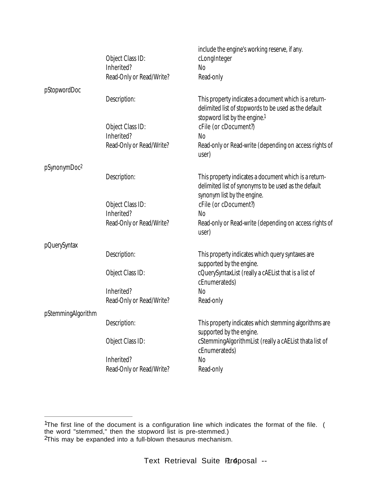|                          |                          | include the engine's working reserve, if any.                                                                                                   |
|--------------------------|--------------------------|-------------------------------------------------------------------------------------------------------------------------------------------------|
|                          | Object Class ID:         | cLongInteger                                                                                                                                    |
|                          | Inherited?               | No                                                                                                                                              |
|                          | Read-Only or Read/Write? | Read-only                                                                                                                                       |
| pStopwordDoc             |                          |                                                                                                                                                 |
|                          | Description:             | This property indicates a document which is a return-<br>delimited list of stopwords to be used as the default<br>stopword list by the engine.1 |
|                          | Object Class ID:         | cFile (or cDocument?)                                                                                                                           |
|                          | Inherited?               | No                                                                                                                                              |
|                          | Read-Only or Read/Write? | Read-only or Read-write (depending on access rights of<br>user)                                                                                 |
| pSynonymDoc <sup>2</sup> |                          |                                                                                                                                                 |
|                          | Description:             | This property indicates a document which is a return-<br>delimited list of synonyms to be used as the default<br>synonym list by the engine.    |
|                          | Object Class ID:         | cFile (or cDocument?)                                                                                                                           |
|                          | Inherited?               | <b>No</b>                                                                                                                                       |
|                          | Read-Only or Read/Write? | Read-only or Read-write (depending on access rights of<br>user)                                                                                 |
| pQuerySyntax             |                          |                                                                                                                                                 |
|                          | Description:             | This property indicates which query syntaxes are<br>supported by the engine.                                                                    |
|                          | Object Class ID:         | cQuerySyntaxList (really a cAEList that is a list of<br>cEnumerateds)                                                                           |
|                          | Inherited?               | N <sub>0</sub>                                                                                                                                  |
|                          | Read-Only or Read/Write? | Read-only                                                                                                                                       |
| pStemmingAlgorithm       |                          |                                                                                                                                                 |
|                          | Description:             | This property indicates which stemming algorithms are<br>supported by the engine.                                                               |
|                          | Object Class ID:         | cStemmingAlgorithmList (really a cAEList thata list of<br>cEnumerateds)                                                                         |
|                          | Inherited?               | N <sub>0</sub>                                                                                                                                  |
|                          | Read-Only or Read/Write? | Read-only                                                                                                                                       |

<sup>&</sup>lt;sup>1</sup>The first line of the document is a configuration line which indicates the format of the file. ( the word "stemmed," then the stopword list is pre-stemmed.) <sup>2</sup>This may be expanded into a full-blown thesaurus mechanism.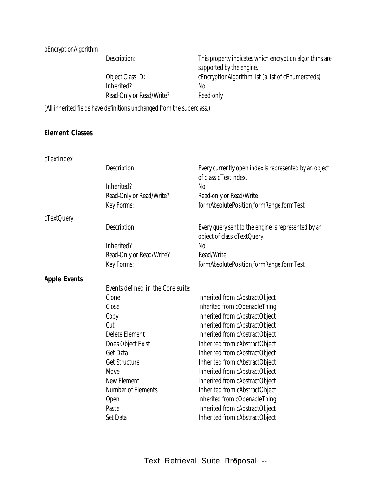### pEncryptionAlgorithm

Description: This property indicates which encryption algorithms are

|                          | in the start of the start of the start of the start of the start of the start of the start of the start of the |
|--------------------------|----------------------------------------------------------------------------------------------------------------|
|                          | supported by the engine.                                                                                       |
| Object Class ID:         | cEncryptionAlgorithmList (a list of cEnumerateds)                                                              |
| Inherited?               | NΩ                                                                                                             |
| Read-Only or Read/Write? | Read-only                                                                                                      |
|                          |                                                                                                                |

(All inherited fields have definitions unchanged from the superclass.)

#### **Element Classes**

cTextIndex

|                     | Description:                      | Every currently open index is represented by an object<br>of class cTextIndex.     |
|---------------------|-----------------------------------|------------------------------------------------------------------------------------|
|                     | Inherited?                        | <b>No</b>                                                                          |
|                     | Read-Only or Read/Write?          | Read-only or Read/Write                                                            |
|                     | Key Forms:                        | formAbsolutePosition,formRange,formTest                                            |
| cTextQuery          |                                   |                                                                                    |
|                     | Description:                      | Every query sent to the engine is represented by an<br>object of class cTextQuery. |
|                     | Inherited?                        | <b>No</b>                                                                          |
|                     | Read-Only or Read/Write?          | Read/Write                                                                         |
|                     | Key Forms:                        | formAbsolutePosition,formRange,formTest                                            |
| <b>Apple Events</b> |                                   |                                                                                    |
|                     | Events defined in the Core suite: |                                                                                    |
|                     | Clone                             | Inherited from cAbstractObject                                                     |
|                     | Close                             | Inherited from cOpenableThing                                                      |
|                     | Copy                              | Inherited from cAbstractObject                                                     |
|                     | Cut                               | Inherited from cAbstractObject                                                     |
|                     | Delete Element                    | Inherited from cAbstractObject                                                     |
|                     | Does Object Exist                 | Inherited from cAbstractObject                                                     |
|                     | Get Data                          | Inherited from cAbstractObject                                                     |
|                     | Get Structure                     | Inherited from cAbstractObject                                                     |
|                     | Move                              | Inherited from cAbstractObject                                                     |
|                     | <b>New Element</b>                | Inherited from cAbstractObject                                                     |
|                     | Number of Elements                | Inherited from cAbstractObject                                                     |
|                     | Open                              | Inherited from cOpenableThing                                                      |
|                     | Paste                             | Inherited from cAbstractObject                                                     |
|                     | Set Data                          | Inherited from cAbstractObject                                                     |
|                     |                                   |                                                                                    |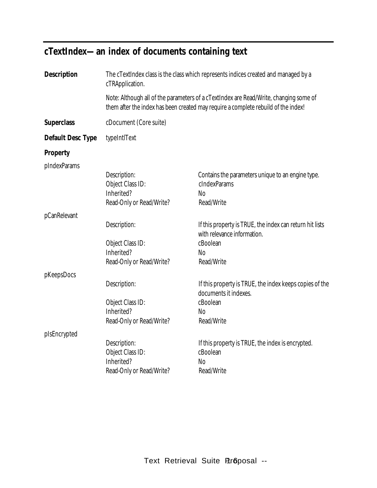## **cTextIndex— an index of documents containing text**

| Description       | The cTextIndex class is the class which represents indices created and managed by a<br>cTRApplication.                                                                      |                                                                                         |  |
|-------------------|-----------------------------------------------------------------------------------------------------------------------------------------------------------------------------|-----------------------------------------------------------------------------------------|--|
|                   | Note: Although all of the parameters of a cTextIndex are Read/Write, changing some of<br>them after the index has been created may require a complete rebuild of the index! |                                                                                         |  |
| <b>Superclass</b> | cDocument (Core suite)                                                                                                                                                      |                                                                                         |  |
| Default Desc Type | typeIntIText                                                                                                                                                                |                                                                                         |  |
| Property          |                                                                                                                                                                             |                                                                                         |  |
| pIndexParams      |                                                                                                                                                                             |                                                                                         |  |
|                   | Description:                                                                                                                                                                | Contains the parameters unique to an engine type.                                       |  |
|                   | Object Class ID:                                                                                                                                                            | cIndexParams                                                                            |  |
|                   | Inherited?                                                                                                                                                                  | No                                                                                      |  |
|                   | Read-Only or Read/Write?                                                                                                                                                    | Read/Write                                                                              |  |
| pCanRelevant      |                                                                                                                                                                             |                                                                                         |  |
|                   | Description:                                                                                                                                                                | If this property is TRUE, the index can return hit lists<br>with relevance information. |  |
|                   | Object Class ID:                                                                                                                                                            | cBoolean                                                                                |  |
|                   | Inherited?                                                                                                                                                                  | No                                                                                      |  |
|                   | Read-Only or Read/Write?                                                                                                                                                    | Read/Write                                                                              |  |
| pKeepsDocs        |                                                                                                                                                                             |                                                                                         |  |
|                   | Description:                                                                                                                                                                | If this property is TRUE, the index keeps copies of the<br>documents it indexes.        |  |
|                   | Object Class ID:                                                                                                                                                            | cBoolean                                                                                |  |
|                   | Inherited?                                                                                                                                                                  | No                                                                                      |  |
|                   | Read-Only or Read/Write?                                                                                                                                                    | Read/Write                                                                              |  |
| pIsEncrypted      |                                                                                                                                                                             |                                                                                         |  |
|                   | Description:<br>Object Class ID:                                                                                                                                            | If this property is TRUE, the index is encrypted.<br>cBoolean                           |  |
|                   | Inherited?                                                                                                                                                                  | No                                                                                      |  |
|                   | Read-Only or Read/Write?                                                                                                                                                    | Read/Write                                                                              |  |
|                   |                                                                                                                                                                             |                                                                                         |  |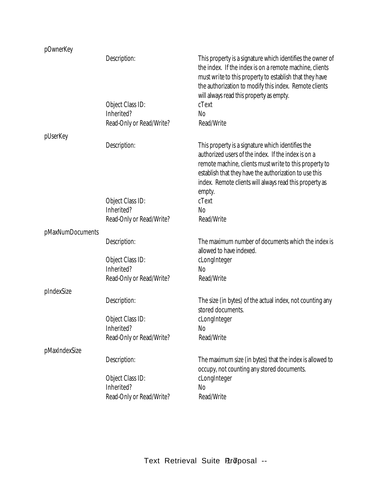| pOwnerKey        |                                                            |                                                                                                                                                                                                                                                                                                   |
|------------------|------------------------------------------------------------|---------------------------------------------------------------------------------------------------------------------------------------------------------------------------------------------------------------------------------------------------------------------------------------------------|
|                  | Description:<br>Object Class ID:                           | This property is a signature which identifies the owner of<br>the index. If the index is on a remote machine, clients<br>must write to this property to establish that they have<br>the authorization to modify this index. Remote clients<br>will always read this property as empty.<br>cText   |
|                  | Inherited?                                                 | <b>No</b>                                                                                                                                                                                                                                                                                         |
|                  | Read-Only or Read/Write?                                   | Read/Write                                                                                                                                                                                                                                                                                        |
|                  |                                                            |                                                                                                                                                                                                                                                                                                   |
| pUserKey         |                                                            |                                                                                                                                                                                                                                                                                                   |
|                  | Description:                                               | This property is a signature which identifies the<br>authorized users of the index. If the index is on a<br>remote machine, clients must write to this property to<br>establish that they have the authorization to use this<br>index. Remote clients will always read this property as<br>empty. |
|                  | Object Class ID:                                           | cText                                                                                                                                                                                                                                                                                             |
|                  | Inherited?                                                 | N <sub>0</sub>                                                                                                                                                                                                                                                                                    |
|                  | Read-Only or Read/Write?                                   | Read/Write                                                                                                                                                                                                                                                                                        |
| pMaxNumDocuments |                                                            |                                                                                                                                                                                                                                                                                                   |
|                  | Description:                                               | The maximum number of documents which the index is<br>allowed to have indexed.                                                                                                                                                                                                                    |
|                  | Object Class ID:                                           | cLongInteger                                                                                                                                                                                                                                                                                      |
|                  | Inherited?                                                 | N <sub>0</sub>                                                                                                                                                                                                                                                                                    |
|                  | Read-Only or Read/Write?                                   | Read/Write                                                                                                                                                                                                                                                                                        |
|                  |                                                            |                                                                                                                                                                                                                                                                                                   |
| pIndexSize       | Description:                                               | The size (in bytes) of the actual index, not counting any                                                                                                                                                                                                                                         |
|                  |                                                            | stored documents.                                                                                                                                                                                                                                                                                 |
|                  | Object Class ID:                                           | cLongInteger                                                                                                                                                                                                                                                                                      |
|                  | Inherited?                                                 | No                                                                                                                                                                                                                                                                                                |
|                  | Read-Only or Read/Write?                                   | Read/Write                                                                                                                                                                                                                                                                                        |
| pMaxIndexSize    |                                                            |                                                                                                                                                                                                                                                                                                   |
|                  | Description:                                               | The maximum size (in bytes) that the index is allowed to<br>occupy, not counting any stored documents.                                                                                                                                                                                            |
|                  | Object Class ID:<br>Inherited?<br>Read-Only or Read/Write? | cLongInteger<br>N <sub>0</sub><br>Read/Write                                                                                                                                                                                                                                                      |
|                  |                                                            |                                                                                                                                                                                                                                                                                                   |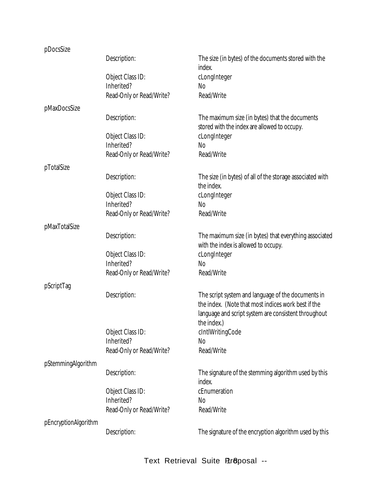| pDocsSize            |                          |                                                                                                                                                                                  |
|----------------------|--------------------------|----------------------------------------------------------------------------------------------------------------------------------------------------------------------------------|
|                      | Description:             | The size (in bytes) of the documents stored with the<br>index.                                                                                                                   |
|                      | Object Class ID:         | cLongInteger                                                                                                                                                                     |
|                      | Inherited?               | N <sub>0</sub>                                                                                                                                                                   |
|                      | Read-Only or Read/Write? | Read/Write                                                                                                                                                                       |
|                      |                          |                                                                                                                                                                                  |
| pMaxDocsSize         |                          |                                                                                                                                                                                  |
|                      | Description:             | The maximum size (in bytes) that the documents<br>stored with the index are allowed to occupy.                                                                                   |
|                      | Object Class ID:         | cLongInteger                                                                                                                                                                     |
|                      | Inherited?               | N <sub>0</sub>                                                                                                                                                                   |
|                      | Read-Only or Read/Write? | Read/Write                                                                                                                                                                       |
|                      |                          |                                                                                                                                                                                  |
| pTotalSize           |                          |                                                                                                                                                                                  |
|                      | Description:             | The size (in bytes) of all of the storage associated with<br>the index.                                                                                                          |
|                      | Object Class ID:         | cLongInteger                                                                                                                                                                     |
|                      | Inherited?               | N <sub>0</sub>                                                                                                                                                                   |
|                      | Read-Only or Read/Write? | Read/Write                                                                                                                                                                       |
|                      |                          |                                                                                                                                                                                  |
| pMaxTotalSize        |                          |                                                                                                                                                                                  |
|                      | Description:             | The maximum size (in bytes) that everything associated<br>with the index is allowed to occupy.                                                                                   |
|                      | Object Class ID:         | cLongInteger                                                                                                                                                                     |
|                      | Inherited?               | N <sub>0</sub>                                                                                                                                                                   |
|                      | Read-Only or Read/Write? | Read/Write                                                                                                                                                                       |
|                      |                          |                                                                                                                                                                                  |
| pScriptTag           |                          |                                                                                                                                                                                  |
|                      | Description:             | The script system and language of the documents in<br>the index. (Note that most indices work best if the<br>language and script system are consistent throughout<br>the index.) |
|                      | Object Class ID:         | cIntlWritingCode                                                                                                                                                                 |
|                      | Inherited?               | No                                                                                                                                                                               |
|                      | Read-Only or Read/Write? | Read/Write                                                                                                                                                                       |
|                      |                          |                                                                                                                                                                                  |
| pStemmingAlgorithm   |                          |                                                                                                                                                                                  |
|                      | Description:             | The signature of the stemming algorithm used by this<br>index.                                                                                                                   |
|                      | Object Class ID:         | cEnumeration                                                                                                                                                                     |
|                      | Inherited?               | N <sub>0</sub>                                                                                                                                                                   |
|                      | Read-Only or Read/Write? | Read/Write                                                                                                                                                                       |
|                      |                          |                                                                                                                                                                                  |
| pEncryptionAlgorithm | Description:             | The signature of the encryption algorithm used by this                                                                                                                           |
|                      |                          |                                                                                                                                                                                  |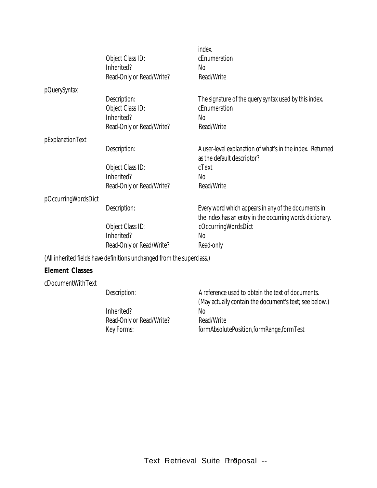|                     |                                                                        | index.                                                                                                           |
|---------------------|------------------------------------------------------------------------|------------------------------------------------------------------------------------------------------------------|
|                     | Object Class ID:                                                       | cEnumeration                                                                                                     |
|                     | Inherited?                                                             | No                                                                                                               |
|                     | Read-Only or Read/Write?                                               | Read/Write                                                                                                       |
| pQuerySyntax        |                                                                        |                                                                                                                  |
|                     | Description:                                                           | The signature of the query syntax used by this index.                                                            |
|                     | Object Class ID:                                                       | cEnumeration                                                                                                     |
|                     | Inherited?                                                             | No                                                                                                               |
|                     | Read-Only or Read/Write?                                               | Read/Write                                                                                                       |
| pExplanationText    |                                                                        |                                                                                                                  |
|                     | Description:                                                           | A user-level explanation of what's in the index. Returned                                                        |
|                     |                                                                        | as the default descriptor?                                                                                       |
|                     | Object Class ID:                                                       | cText                                                                                                            |
|                     | Inherited?                                                             | <b>No</b>                                                                                                        |
|                     | Read-Only or Read/Write?                                               | Read/Write                                                                                                       |
| pOccurringWordsDict |                                                                        |                                                                                                                  |
|                     | Description:                                                           | Every word which appears in any of the documents in<br>the index has an entry in the occurring words dictionary. |
|                     | Object Class ID:                                                       | cOccurringWordsDict                                                                                              |
|                     | Inherited?                                                             | N <sub>0</sub>                                                                                                   |
|                     | Read-Only or Read/Write?                                               | Read-only                                                                                                        |
|                     | (All inherited fields have definitions unchanged from the superclass.) |                                                                                                                  |

### **Element Classes**

cDocumentWithText

Inherited? No<br>
Read-Only or Read/Write? Read/Write Read-Only or Read/Write?

Description: A reference used to obtain the text of documents. (May actually contain the document's text; see below.) Key Forms: formAbsolutePosition,formRange,formTest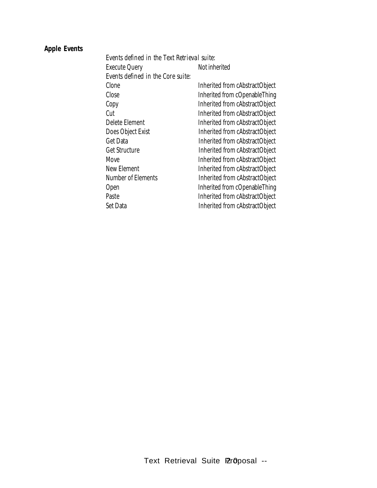### **Apple Events**

| Events defined in the Text Retrieval suite: |                                |
|---------------------------------------------|--------------------------------|
| <b>Execute Query</b>                        | Not inherited                  |
| Events defined in the Core suite:           |                                |
| Clone                                       | Inherited from cAbstractObject |
| Close                                       | Inherited from cOpenableThing  |
| Copy                                        | Inherited from cAbstractObject |
| Cut                                         | Inherited from cAbstractObject |
| Delete Element                              | Inherited from cAbstractObject |
| Does Object Exist                           | Inherited from cAbstractObject |
| Get Data                                    | Inherited from cAbstractObject |
| Get Structure                               | Inherited from cAbstractObject |
| Move                                        | Inherited from cAbstractObject |
| New Element                                 | Inherited from cAbstractObject |
| Number of Elements                          | Inherited from cAbstractObject |
| Open                                        | Inherited from cOpenableThing  |
| Paste                                       | Inherited from cAbstractObject |
| Set Data                                    | Inherited from cAbstractObject |
|                                             |                                |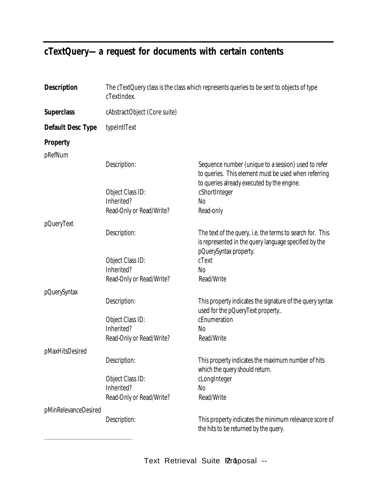## **cTextQuery— a request for documents with certain contents**

| Description          | The cTextQuery class is the class which represents queries to be sent to objects of type<br>cTextIndex. |                                                                                                                                                           |
|----------------------|---------------------------------------------------------------------------------------------------------|-----------------------------------------------------------------------------------------------------------------------------------------------------------|
| <b>Superclass</b>    | cAbstractObject (Core suite)                                                                            |                                                                                                                                                           |
| Default Desc Type    | typeIntIText                                                                                            |                                                                                                                                                           |
| <b>Property</b>      |                                                                                                         |                                                                                                                                                           |
| pRefNum              |                                                                                                         |                                                                                                                                                           |
|                      | Description:                                                                                            | Sequence number (unique to a session) used to refer<br>to queries. This element must be used when referring<br>to queries already executed by the engine. |
|                      | Object Class ID:                                                                                        | cShortInteger                                                                                                                                             |
|                      | Inherited?                                                                                              | N <sub>o</sub>                                                                                                                                            |
|                      | Read-Only or Read/Write?                                                                                | Read-only                                                                                                                                                 |
| pQueryText           |                                                                                                         |                                                                                                                                                           |
|                      | Description:                                                                                            | The text of the query, i.e. the terms to search for. This<br>is represented in the query language specified by the<br>pQuerySyntax property.              |
|                      | Object Class ID:                                                                                        | cText                                                                                                                                                     |
|                      | Inherited?                                                                                              | <b>No</b>                                                                                                                                                 |
|                      | Read-Only or Read/Write?                                                                                | Read/Write                                                                                                                                                |
| pQuerySyntax         |                                                                                                         |                                                                                                                                                           |
|                      | Description:                                                                                            | This property indicates the signature of the query syntax<br>used for the pQueryText property                                                             |
|                      | Object Class ID:                                                                                        | cEnumeration                                                                                                                                              |
|                      | Inherited?                                                                                              | No                                                                                                                                                        |
|                      | Read-Only or Read/Write?                                                                                | Read/Write                                                                                                                                                |
| pMaxHitsDesired      |                                                                                                         |                                                                                                                                                           |
|                      | Description:                                                                                            | This property indicates the maximum number of hits<br>which the query should return.                                                                      |
|                      | Object Class ID:                                                                                        | cLongInteger                                                                                                                                              |
|                      | Inherited?                                                                                              | <b>No</b>                                                                                                                                                 |
|                      | Read-Only or Read/Write?                                                                                | Read/Write                                                                                                                                                |
| pMinRelevanceDesired |                                                                                                         |                                                                                                                                                           |
|                      | Description:                                                                                            | This property indicates the minimum relevance score of<br>the hits to be returned by the query.                                                           |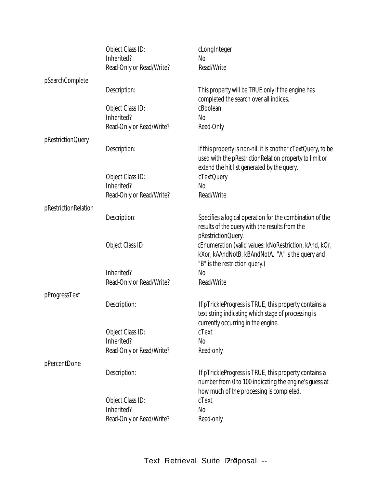|                      | Object Class ID:         | cLongInteger                                                                                                                                                           |
|----------------------|--------------------------|------------------------------------------------------------------------------------------------------------------------------------------------------------------------|
|                      | Inherited?               | No                                                                                                                                                                     |
|                      | Read-Only or Read/Write? | Read/Write                                                                                                                                                             |
| pSearchComplete      |                          |                                                                                                                                                                        |
|                      | Description:             | This property will be TRUE only if the engine has<br>completed the search over all indices.                                                                            |
|                      | Object Class ID:         | cBoolean                                                                                                                                                               |
|                      | Inherited?               | <b>No</b>                                                                                                                                                              |
|                      | Read-Only or Read/Write? | Read-Only                                                                                                                                                              |
| pRestrictionQuery    |                          |                                                                                                                                                                        |
|                      | Description:             | If this property is non-nil, it is another cTextQuery, to be<br>used with the pRestrictionRelation property to limit or<br>extend the hit list generated by the query. |
|                      | Object Class ID:         | cTextQuery                                                                                                                                                             |
|                      | Inherited?               | N <sub>0</sub>                                                                                                                                                         |
|                      | Read-Only or Read/Write? | Read/Write                                                                                                                                                             |
|                      |                          |                                                                                                                                                                        |
| pRestrictionRelation | Description:             | Specifies a logical operation for the combination of the<br>results of the query with the results from the                                                             |
|                      | Object Class ID:         | pRestrictionQuery.<br>cEnumeration (valid values: kNoRestriction, kAnd, kOr,<br>kXor, kAAndNotB, kBAndNotA. "A" is the query and<br>"B" is the restriction query.)     |
|                      | Inherited?               | No                                                                                                                                                                     |
|                      | Read-Only or Read/Write? | Read/Write                                                                                                                                                             |
|                      |                          |                                                                                                                                                                        |
| pProgressText        |                          |                                                                                                                                                                        |
|                      | Description:             | If pTrickleProgress is TRUE, this property contains a<br>text string indicating which stage of processing is<br>currently occurring in the engine.                     |
|                      | Object Class ID:         | cText                                                                                                                                                                  |
|                      | Inherited?               | No                                                                                                                                                                     |
|                      | Read-Only or Read/Write? | Read-only                                                                                                                                                              |
|                      |                          |                                                                                                                                                                        |
| pPercentDone         | Description:             | If pTrickleProgress is TRUE, this property contains a<br>number from 0 to 100 indicating the engine's guess at<br>how much of the processing is completed.             |
|                      | Object Class ID:         | cText                                                                                                                                                                  |
|                      | Inherited?               | N <sub>o</sub>                                                                                                                                                         |
|                      | Read-Only or Read/Write? | Read-only                                                                                                                                                              |
|                      |                          |                                                                                                                                                                        |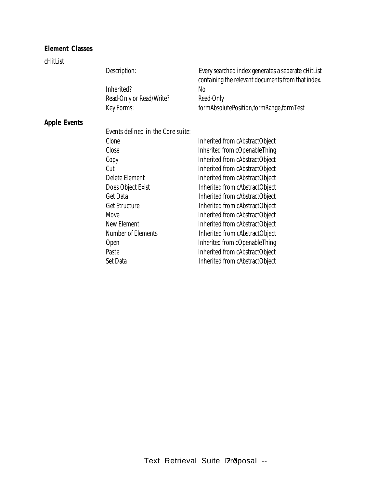#### **Element Classes**

#### cHitList

Description: Every searched index generates a separate cHitList

|                          | containing the relevant documents from that index. |
|--------------------------|----------------------------------------------------|
| Inherited?               | No.                                                |
| Read-Only or Read/Write? | Read-Only                                          |
| Key Forms:               | formAbsolutePosition,formRange,formTest            |
|                          |                                                    |

#### **Apple Events**

*Events defined in the Core suite:*

| Clone              | Inherited from cAbstractObject |
|--------------------|--------------------------------|
| Close              | Inherited from cOpenableThing  |
| Copy               | Inherited from cAbstractObject |
| Cut                | Inherited from cAbstractObject |
| Delete Element     | Inherited from cAbstractObject |
| Does Object Exist  | Inherited from cAbstractObject |
| Get Data           | Inherited from cAbstractObject |
| Get Structure      | Inherited from cAbstractObject |
| Move               | Inherited from cAbstractObject |
| New Element        | Inherited from cAbstractObject |
| Number of Elements | Inherited from cAbstractObject |
| Open               | Inherited from cOpenableThing  |
| Paste              | Inherited from cAbstractObject |
| Set Data           | Inherited from cAbstractObject |
|                    |                                |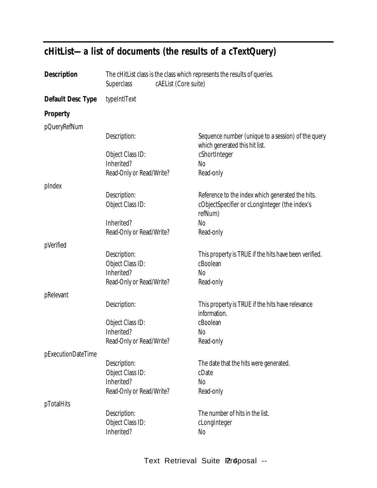| <b>Description</b> | The cHitList class is the class which represents the results of queries.<br>cAEList (Core suite)<br><b>Superclass</b> |  |                                                                                      |
|--------------------|-----------------------------------------------------------------------------------------------------------------------|--|--------------------------------------------------------------------------------------|
| Default Desc Type  | typeIntIText                                                                                                          |  |                                                                                      |
| Property           |                                                                                                                       |  |                                                                                      |
| pQueryRefNum       |                                                                                                                       |  |                                                                                      |
|                    | Description:                                                                                                          |  | Sequence number (unique to a session) of the query<br>which generated this hit list. |
|                    | Object Class ID:                                                                                                      |  | cShortInteger                                                                        |
|                    | Inherited?                                                                                                            |  | No                                                                                   |
|                    | Read-Only or Read/Write?                                                                                              |  | Read-only                                                                            |
| plndex             |                                                                                                                       |  |                                                                                      |
|                    | Description:                                                                                                          |  | Reference to the index which generated the hits.                                     |
|                    | Object Class ID:                                                                                                      |  | cObjectSpecifier or cLongInteger (the index's<br>refNum)                             |
|                    | Inherited?                                                                                                            |  | N <sub>0</sub>                                                                       |
|                    | Read-Only or Read/Write?                                                                                              |  | Read-only                                                                            |
| pVerified          |                                                                                                                       |  |                                                                                      |
|                    | Description:                                                                                                          |  | This property is TRUE if the hits have been verified.                                |
|                    | Object Class ID:                                                                                                      |  | cBoolean                                                                             |
|                    | Inherited?                                                                                                            |  | No                                                                                   |
|                    | Read-Only or Read/Write?                                                                                              |  | Read-only                                                                            |
| pRelevant          |                                                                                                                       |  |                                                                                      |
|                    | Description:                                                                                                          |  | This property is TRUE if the hits have relevance                                     |
|                    |                                                                                                                       |  | information.                                                                         |
|                    | Object Class ID:                                                                                                      |  | cBoolean                                                                             |
|                    | Inherited?                                                                                                            |  | No                                                                                   |
|                    | Read-Only or Read/Write?                                                                                              |  | Read-only                                                                            |
|                    |                                                                                                                       |  |                                                                                      |
| pExecutionDateTime |                                                                                                                       |  |                                                                                      |
|                    | Description:                                                                                                          |  | The date that the hits were generated.                                               |
|                    | Object Class ID:                                                                                                      |  | cDate                                                                                |
|                    | Inherited?                                                                                                            |  | N <sub>o</sub>                                                                       |
|                    | Read-Only or Read/Write?                                                                                              |  | Read-only                                                                            |
| pTotalHits         |                                                                                                                       |  |                                                                                      |
|                    | Description:                                                                                                          |  | The number of hits in the list.                                                      |
|                    | Object Class ID:                                                                                                      |  | cLongInteger                                                                         |
|                    | Inherited?                                                                                                            |  | No                                                                                   |
|                    |                                                                                                                       |  |                                                                                      |

## **cHitList— a list of documents (the results of a cTextQuery)**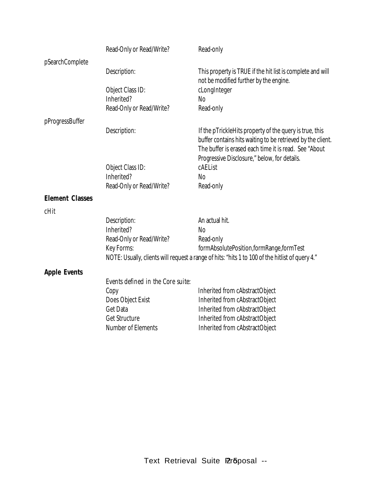|                        | Read-Only or Read/Write?          | Read-only                                                                                                                                                                                                                       |
|------------------------|-----------------------------------|---------------------------------------------------------------------------------------------------------------------------------------------------------------------------------------------------------------------------------|
| pSearchComplete        |                                   |                                                                                                                                                                                                                                 |
|                        | Description:                      | This property is TRUE if the hit list is complete and will<br>not be modified further by the engine.                                                                                                                            |
|                        | Object Class ID:                  | cLongInteger                                                                                                                                                                                                                    |
|                        | Inherited?                        | <b>No</b>                                                                                                                                                                                                                       |
|                        | Read-Only or Read/Write?          | Read-only                                                                                                                                                                                                                       |
| pProgressBuffer        |                                   |                                                                                                                                                                                                                                 |
|                        | Description:                      | If the pTrickleHits property of the query is true, this<br>buffer contains hits waiting to be retrieved by the client.<br>The buffer is erased each time it is read. See "About<br>Progressive Disclosure," below, for details. |
|                        | Object Class ID:                  | cAEList                                                                                                                                                                                                                         |
|                        | Inherited?                        | <b>No</b>                                                                                                                                                                                                                       |
|                        | Read-Only or Read/Write?          | Read-only                                                                                                                                                                                                                       |
| <b>Element Classes</b> |                                   |                                                                                                                                                                                                                                 |
| cHit                   |                                   |                                                                                                                                                                                                                                 |
|                        | Description:                      | An actual hit.                                                                                                                                                                                                                  |
|                        | Inherited?                        | <b>No</b>                                                                                                                                                                                                                       |
|                        | Read-Only or Read/Write?          | Read-only                                                                                                                                                                                                                       |
|                        | Key Forms:                        | formAbsolutePosition,formRange,formTest                                                                                                                                                                                         |
|                        |                                   | NOTE: Usually, clients will request a range of hits: "hits 1 to 100 of the hitlist of query 4."                                                                                                                                 |
| <b>Apple Events</b>    |                                   |                                                                                                                                                                                                                                 |
|                        | Events defined in the Core suite: |                                                                                                                                                                                                                                 |
|                        | Copy                              | Inherited from cAbstractObject                                                                                                                                                                                                  |
|                        | Does Object Exist                 | Inherited from cAbstractObject                                                                                                                                                                                                  |
|                        | <b>Get Data</b>                   | Inherited from cAbstractObject                                                                                                                                                                                                  |
|                        | Get Structure                     | Inherited from cAbstractObject                                                                                                                                                                                                  |
|                        | Number of Elements                | Inherited from cAbstractObject                                                                                                                                                                                                  |
|                        |                                   |                                                                                                                                                                                                                                 |
|                        |                                   |                                                                                                                                                                                                                                 |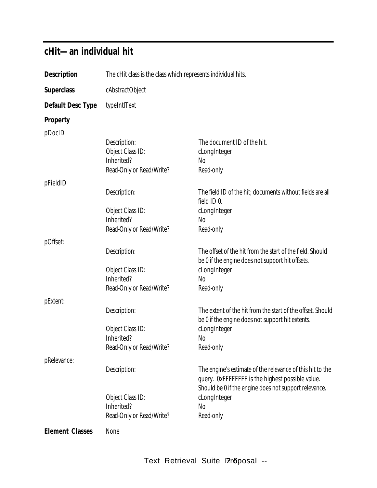## **cHit— an individual hit**

| <b>Description</b>     | The cHit class is the class which represents individual hits. |                                                            |
|------------------------|---------------------------------------------------------------|------------------------------------------------------------|
| <b>Superclass</b>      | cAbstractObject                                               |                                                            |
| Default Desc Type      | typeIntIText                                                  |                                                            |
| Property               |                                                               |                                                            |
| pDocID                 |                                                               |                                                            |
|                        | Description:                                                  | The document ID of the hit.                                |
|                        | Object Class ID:                                              | cLongInteger                                               |
|                        | Inherited?                                                    | <b>No</b>                                                  |
|                        | Read-Only or Read/Write?                                      | Read-only                                                  |
| pFieldID               |                                                               |                                                            |
|                        | Description:                                                  | The field ID of the hit; documents without fields are all  |
|                        |                                                               | field ID 0.                                                |
|                        | Object Class ID:                                              | cLongInteger                                               |
|                        | Inherited?                                                    | <b>No</b>                                                  |
|                        | Read-Only or Read/Write?                                      | Read-only                                                  |
| pOffset:               |                                                               |                                                            |
|                        | Description:                                                  | The offset of the hit from the start of the field. Should  |
|                        |                                                               | be 0 if the engine does not support hit offsets.           |
|                        | Object Class ID:                                              | cLongInteger                                               |
|                        | Inherited?                                                    | <b>No</b>                                                  |
|                        | Read-Only or Read/Write?                                      | Read-only                                                  |
| pExtent:               |                                                               |                                                            |
|                        | Description:                                                  | The extent of the hit from the start of the offset. Should |
|                        |                                                               | be 0 if the engine does not support hit extents.           |
|                        | Object Class ID:                                              | cLongInteger                                               |
|                        | Inherited?                                                    | No                                                         |
|                        | Read-Only or Read/Write?                                      | Read-only                                                  |
| pRelevance:            |                                                               |                                                            |
|                        | Description:                                                  | The engine's estimate of the relevance of this hit to the  |
|                        |                                                               | query. OxFFFFFFFF is the highest possible value.           |
|                        |                                                               | Should be 0 if the engine does not support relevance.      |
|                        | Object Class ID:                                              | cLongInteger                                               |
|                        | Inherited?                                                    | <b>No</b>                                                  |
|                        | Read-Only or Read/Write?                                      | Read-only                                                  |
|                        |                                                               |                                                            |
| <b>Element Classes</b> | None                                                          |                                                            |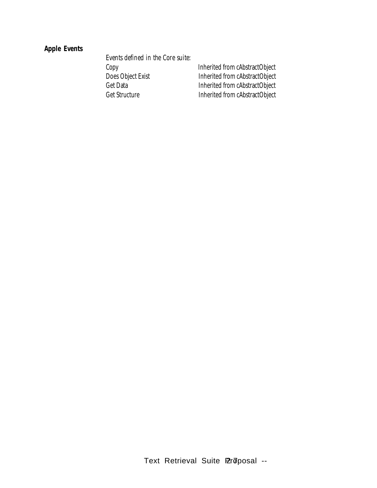### **Apple Events**

*Events defined in the Core suite:* Copy Inherited from cAbstractObject<br>Does Object Exist Inherited from cAbstractObject Get Data<br>
Get Structure Inherited from cAbstractObject<br>
Inherited from cAbstractObject

Inherited from cAbstractObject Inherited from cAbstractObject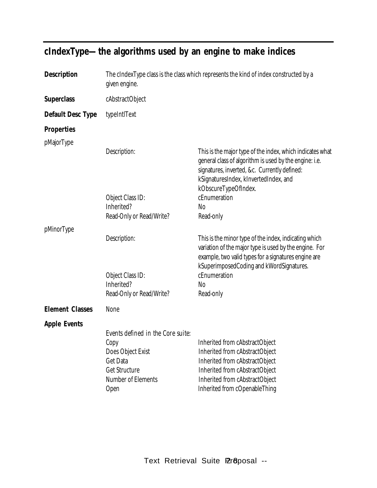| <b>Description</b>     | The cIndexType class is the class which represents the kind of index constructed by a<br>given engine.                    |                                                                                                                                                                                                                                      |
|------------------------|---------------------------------------------------------------------------------------------------------------------------|--------------------------------------------------------------------------------------------------------------------------------------------------------------------------------------------------------------------------------------|
| <b>Superclass</b>      | cAbstractObject                                                                                                           |                                                                                                                                                                                                                                      |
| Default Desc Type      | typeIntIText                                                                                                              |                                                                                                                                                                                                                                      |
| <b>Properties</b>      |                                                                                                                           |                                                                                                                                                                                                                                      |
| pMajorType             |                                                                                                                           |                                                                                                                                                                                                                                      |
|                        | Description:                                                                                                              | This is the major type of the index, which indicates what<br>general class of algorithm is used by the engine: i.e.<br>signatures, inverted, &c. Currently defined:<br>kSignaturesIndex, kInvertedIndex, and<br>kObscureTypeOfIndex. |
|                        | Object Class ID:                                                                                                          | cEnumeration                                                                                                                                                                                                                         |
|                        | Inherited?                                                                                                                | No                                                                                                                                                                                                                                   |
|                        | Read-Only or Read/Write?                                                                                                  | Read-only                                                                                                                                                                                                                            |
| pMinorType             | Description:                                                                                                              | This is the minor type of the index, indicating which<br>variation of the major type is used by the engine. For<br>example, two valid types for a signatures engine are                                                              |
|                        | Object Class ID:<br>Inherited?<br>Read-Only or Read/Write?                                                                | kSuperimposedCoding and kWordSignatures.<br>cEnumeration<br>No<br>Read-only                                                                                                                                                          |
| <b>Element Classes</b> | None                                                                                                                      |                                                                                                                                                                                                                                      |
| <b>Apple Events</b>    |                                                                                                                           |                                                                                                                                                                                                                                      |
|                        | Events defined in the Core suite:<br>Copy<br>Does Object Exist<br>Get Data<br>Get Structure<br>Number of Elements<br>Open | Inherited from cAbstractObject<br>Inherited from cAbstractObject<br>Inherited from cAbstractObject<br>Inherited from cAbstractObject<br>Inherited from cAbstractObject<br>Inherited from cOpenableThing                              |

## **cIndexType— the algorithms used by an engine to make indices**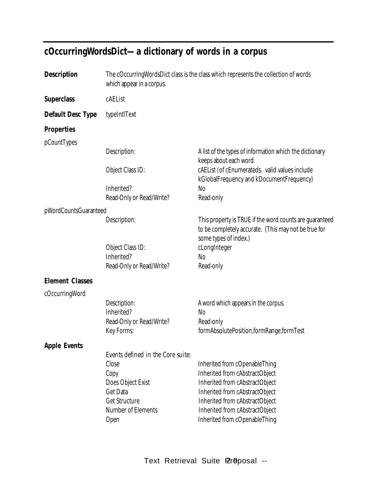## **cOccurringWordsDict— a dictionary of words in a corpus**

| <b>Description</b>     | The cOccurring Words Dict class is the class which represents the collection of words<br>which appear in a corpus. |                                                                                                                                          |
|------------------------|--------------------------------------------------------------------------------------------------------------------|------------------------------------------------------------------------------------------------------------------------------------------|
| <b>Superclass</b>      | cAEList                                                                                                            |                                                                                                                                          |
| Default Desc Type      | typeIntIText                                                                                                       |                                                                                                                                          |
| <b>Properties</b>      |                                                                                                                    |                                                                                                                                          |
| pCountTypes            |                                                                                                                    |                                                                                                                                          |
|                        | Description:                                                                                                       | A list of the types of information which the dictionary<br>keeps about each word.                                                        |
|                        | Object Class ID:                                                                                                   | cAEList (of cEnumerateds. valid values include<br>kGlobalFrequency and kDocumentFrequency)                                               |
|                        | Inherited?                                                                                                         | <b>No</b>                                                                                                                                |
|                        | Read-Only or Read/Write?                                                                                           | Read-only                                                                                                                                |
| pWordCountsGuaranteed  |                                                                                                                    |                                                                                                                                          |
|                        | Description:                                                                                                       | This property is TRUE if the word counts are guaranteed<br>to be completely accurate. (This may not be true for<br>some types of index.) |
|                        | Object Class ID:                                                                                                   | cLongInteger                                                                                                                             |
|                        | Inherited?                                                                                                         | N <sub>0</sub>                                                                                                                           |
|                        | Read-Only or Read/Write?                                                                                           | Read-only                                                                                                                                |
| <b>Element Classes</b> |                                                                                                                    |                                                                                                                                          |
| cOccurringWord         |                                                                                                                    |                                                                                                                                          |
|                        | Description:                                                                                                       | A word which appears in the corpus.                                                                                                      |
|                        | Inherited?                                                                                                         | <b>No</b>                                                                                                                                |
|                        | Read-Only or Read/Write?                                                                                           | Read-only                                                                                                                                |
|                        | Key Forms:                                                                                                         | formAbsolutePosition,formRange,formTest                                                                                                  |
| <b>Apple Events</b>    |                                                                                                                    |                                                                                                                                          |
|                        | Events defined in the Core suite:                                                                                  |                                                                                                                                          |
|                        | Close                                                                                                              | Inherited from cOpenableThing                                                                                                            |
|                        | Copy                                                                                                               | Inherited from cAbstractObject<br>Inherited from cAbstractObject                                                                         |
|                        | Does Object Exist<br>Get Data                                                                                      | Inherited from cAbstractObject                                                                                                           |
|                        | Get Structure                                                                                                      | Inherited from cAbstractObject                                                                                                           |
|                        | Number of Elements                                                                                                 | Inherited from cAbstractObject                                                                                                           |
|                        | Open                                                                                                               | Inherited from cOpenableThing                                                                                                            |
|                        |                                                                                                                    |                                                                                                                                          |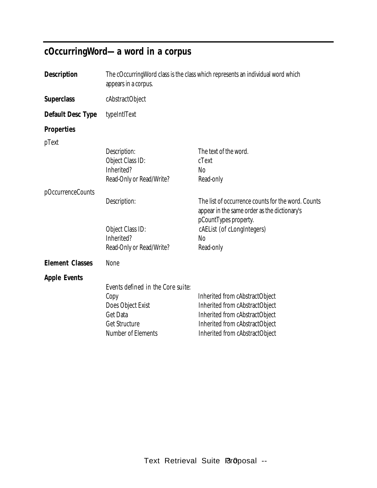## **cOccurringWord— a word in a corpus**

| The cOccurring Word class is the class which represents an individual word which<br>appears in a corpus.                 |                                                                                                                                                                        |
|--------------------------------------------------------------------------------------------------------------------------|------------------------------------------------------------------------------------------------------------------------------------------------------------------------|
| cAbstractObject                                                                                                          |                                                                                                                                                                        |
| typeIntIText                                                                                                             |                                                                                                                                                                        |
|                                                                                                                          |                                                                                                                                                                        |
|                                                                                                                          |                                                                                                                                                                        |
| Description:                                                                                                             | The text of the word.                                                                                                                                                  |
| Object Class ID:                                                                                                         | cText                                                                                                                                                                  |
|                                                                                                                          | <b>No</b>                                                                                                                                                              |
|                                                                                                                          | Read-only                                                                                                                                                              |
|                                                                                                                          |                                                                                                                                                                        |
| Description:                                                                                                             | The list of occurrence counts for the word. Counts<br>appear in the same order as the dictionary's<br>pCountTypes property.                                            |
| Object Class ID:                                                                                                         | cAEList (of cLongIntegers)                                                                                                                                             |
| Inherited?                                                                                                               | <b>No</b>                                                                                                                                                              |
| Read-Only or Read/Write?                                                                                                 | Read-only                                                                                                                                                              |
| None                                                                                                                     |                                                                                                                                                                        |
|                                                                                                                          |                                                                                                                                                                        |
| Events defined in the Core suite:<br>Copy<br>Does Object Exist<br><b>Get Data</b><br>Get Structure<br>Number of Elements | Inherited from cAbstractObject<br>Inherited from cAbstractObject<br>Inherited from cAbstractObject<br>Inherited from cAbstractObject<br>Inherited from cAbstractObject |
|                                                                                                                          | Inherited?<br>Read-Only or Read/Write?                                                                                                                                 |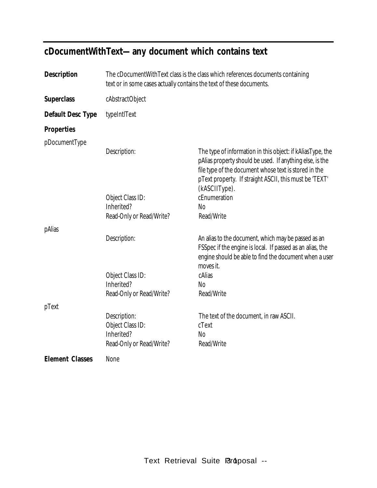## **cDocumentWithText— any document which contains text**

| Description            | The cDocumentWithText class is the class which references documents containing<br>text or in some cases actually contains the text of these documents. |                                                                                                                                                                                                                                                            |
|------------------------|--------------------------------------------------------------------------------------------------------------------------------------------------------|------------------------------------------------------------------------------------------------------------------------------------------------------------------------------------------------------------------------------------------------------------|
| <b>Superclass</b>      | cAbstractObject                                                                                                                                        |                                                                                                                                                                                                                                                            |
| Default Desc Type      | typeIntIText                                                                                                                                           |                                                                                                                                                                                                                                                            |
| <b>Properties</b>      |                                                                                                                                                        |                                                                                                                                                                                                                                                            |
| pDocumentType          | Description:                                                                                                                                           | The type of information in this object: if kAliasType, the<br>pAlias property should be used. If anything else, is the<br>file type of the document whose text is stored in the<br>pText property. If straight ASCII, this must be 'TEXT'<br>(kASCIIType). |
|                        | Object Class ID:<br>Inherited?<br>Read-Only or Read/Write?                                                                                             | cEnumeration<br>N <sub>0</sub><br>Read/Write                                                                                                                                                                                                               |
| pAlias                 | Description:<br>Object Class ID:<br>Inherited?                                                                                                         | An alias to the document, which may be passed as an<br>FSSpec if the engine is local. If passed as an alias, the<br>engine should be able to find the document when a user<br>moves it.<br>cAlias<br><b>No</b>                                             |
|                        | Read-Only or Read/Write?                                                                                                                               | Read/Write                                                                                                                                                                                                                                                 |
| pText                  | Description:<br>Object Class ID:<br>Inherited?<br>Read-Only or Read/Write?                                                                             | The text of the document, in raw ASCII.<br>cText<br><b>No</b><br>Read/Write                                                                                                                                                                                |
| <b>Element Classes</b> | None                                                                                                                                                   |                                                                                                                                                                                                                                                            |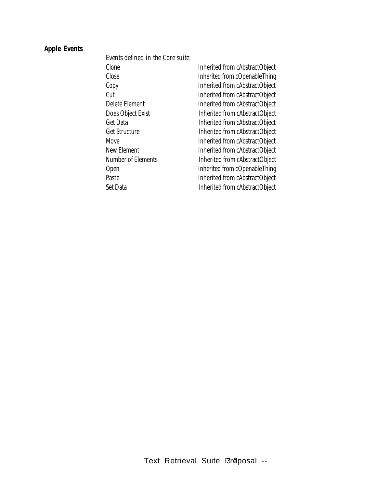### **Apple Events**

*Events defined in the Core suite:*

| Clone              | Inherited from cAbstractObject |
|--------------------|--------------------------------|
| Close              | Inherited from cOpenableThing  |
| Copy               | Inherited from cAbstractObject |
| Cut                | Inherited from cAbstractObject |
| Delete Element     | Inherited from cAbstractObject |
| Does Object Exist  | Inherited from cAbstractObject |
| Get Data           | Inherited from cAbstractObject |
| Get Structure      | Inherited from cAbstractObject |
| Move               | Inherited from cAbstractObject |
| New Element        | Inherited from cAbstractObject |
| Number of Elements | Inherited from cAbstractObject |
| Open               | Inherited from cOpenableThing  |
| Paste              | Inherited from cAbstractObject |
| Set Data           | Inherited from cAbstractObject |
|                    |                                |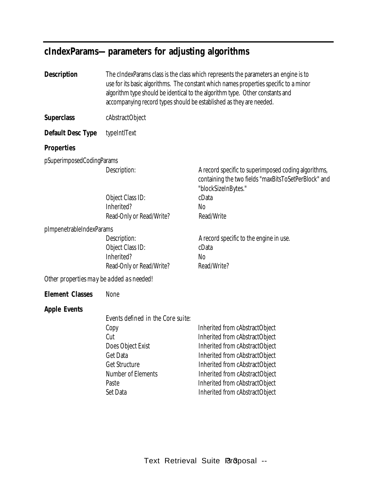### **cIndexParams— parameters for adjusting algorithms**

**Description** The cIndexParams class is the class which represents the parameters an engine is to use for its basic algorithms. The constant which names properties specific to a minor algorithm type should be identical to the algorithm type. Other constants and accompanying record types should be established as they are needed.

**Superclass** cAbstractObject

**Default Desc Type** typeIntlText

#### **Properties**

pSuperimposedCodingParams

Object Class ID: cData Inherited? No Read-Only or Read/Write? Read/Write

pImpenetrableIndexParams

Object Class ID: cData Inherited? No Read-Only or Read/Write? Read/Write?

Description: A record specific to superimposed coding algorithms, containing the two fields "maxBitsToSetPerBlock" and "blockSizeInBytes."

Description: A record specific to the engine in use.

*Other properties may be added as needed!*

**Element Classes** None

#### **Apple Events**

*Events defined in the Core suite:*

| Copy               | Inherited from cAbstractObject |
|--------------------|--------------------------------|
| Cut                | Inherited from cAbstractObject |
| Does Object Exist  | Inherited from cAbstractObject |
| Get Data           | Inherited from cAbstractObject |
| Get Structure      | Inherited from cAbstractObject |
| Number of Elements | Inherited from cAbstractObject |
| Paste              | Inherited from cAbstractObject |
| Set Data           | Inherited from cAbstractObject |
|                    |                                |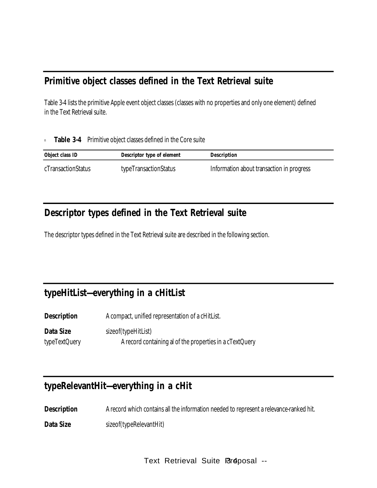### **Primitive object classes defined in the Text Retrieval suite**

Table 3-4 lists the primitive Apple event object classes (classes with no properties and only one element) defined in the Text Retrieval suite.

<sup>n</sup> **Table 3-4** Primitive object classes defined in the Core suite

| Object class ID    | Descriptor type of element | Description                               |
|--------------------|----------------------------|-------------------------------------------|
| cTransactionStatus | typeTransactionStatus      | Information about transaction in progress |

## **Descriptor types defined in the Text Retrieval suite**

The descriptor types defined in the Text Retrieval suite are described in the following section.

## **typeHitList—everything in a cHitList**

**Description** A compact, unified representation of a cHitList.

**Data Size** sizeof(typeHitList) typeTextQuery **A** record containing al of the properties in a cTextQuery

### **typeRelevantHit—everything in a cHit**

**Description** A record which contains all the information needed to represent a relevance-ranked hit.

**Data Size** sizeof(typeRelevantHit)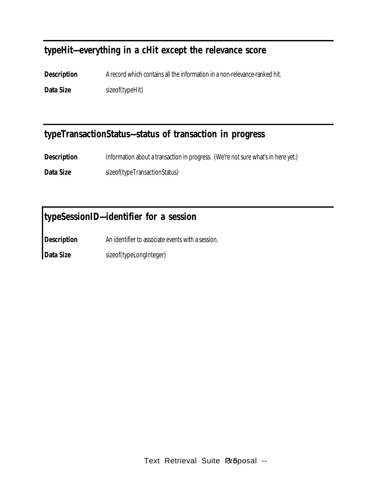### **typeHit—everything in a cHit except the relevance score**

**Description** A record which contains all the information in a non-relevance-ranked hit. **Data Size** sizeof(typeHit)

### **typeTransactionStatus—status of transaction in progress**

**Description** Information about a transaction in progress. (We're not sure what's in here yet.)

**Data Size** sizeof(typeTransactionStatus)

## **typeSessionID—identifier for a session**

**Description** An identifier to associate events with a session.

**Data Size** sizeof(typeLongInteger)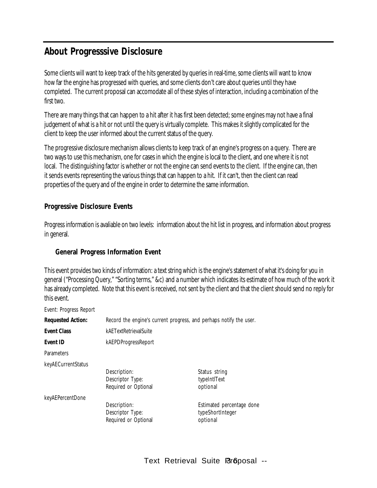## **About Progresssive Disclosure**

Some clients will want to keep track of the hits generated by queries in real-time, some clients will want to know how far the engine has progressed with queries, and some clients don't care about queries until they have completed. The current proposal can accomodate all of these styles of interaction, including a combination of the first two.

There are many things that can happen to a hit after it has first been detected; some engines may not have a final judgement of what is a hit or not until the query is virtually complete. This makes it slightly complicated for the client to keep the user informed about the current status of the query.

The progressive disclosure mechanism allows clients to keep track of an engine's progress on a query. There are two ways to use this mechanism, one for cases in which the engine is local to the client, and one where it is not local. The distinguishing factor is whether or not the engine can send events to the client. If the engine can, then it sends events representing the various things that can happen to a hit. If it can't, then the client can read properties of the query and of the engine in order to determine the same information.

#### **Progressive Disclosure Events**

Progress information is avaliable on two levels: information about the hit list in progress, and information about progress in general.

#### **General Progress Information Event**

This event provides two kinds of information: a text string which is the engine's statement of what it's doing for you in general ("Processing Query," "Sorting terms," &c) and a number which indicates its estimate of how much of the work it has already completed. Note that this event is received, not sent by the client and that the client should send no reply for this event.

Event: Progress Report

| <b>Requested Action:</b> | Record the engine's current progress, and perhaps notify the user. |                           |  |
|--------------------------|--------------------------------------------------------------------|---------------------------|--|
|                          |                                                                    |                           |  |
| <b>Event Class</b>       | kAETextRetrievalSuite                                              |                           |  |
| Event ID                 | kAEPDProgressReport                                                |                           |  |
| <b>Parameters</b>        |                                                                    |                           |  |
| keyAECurrentStatus       |                                                                    |                           |  |
|                          | Description:                                                       | Status string             |  |
|                          | Descriptor Type:                                                   | typeIntIText              |  |
|                          | Required or Optional                                               | optional                  |  |
| keyAEPercentDone         |                                                                    |                           |  |
|                          | Description:                                                       | Estimated percentage done |  |
|                          | Descriptor Type:                                                   | typeShortInteger          |  |
|                          | Required or Optional                                               | optional                  |  |
|                          |                                                                    |                           |  |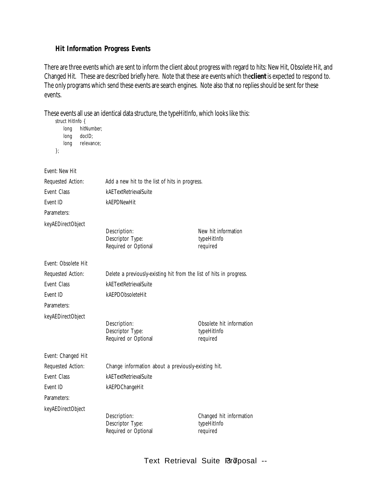#### **Hit Information Progress Events**

There are three events which are sent to inform the client about progress with regard to hits: New Hit, Obsolete Hit, and Changed Hit. These are described briefly here. Note that these are events which the **client** is expected to respond to. The only programs which send these events are search engines. Note also that no replies should be sent for these events.

These events all use an identical data structure, the typeHitInfo, which looks like this: struct HitInfo {

| ouuut muuno<br>long<br>long<br>long<br>}; | hitNumber;<br>docID;<br>relevance; |                                                                     |                                                     |
|-------------------------------------------|------------------------------------|---------------------------------------------------------------------|-----------------------------------------------------|
| Event: New Hit                            |                                    |                                                                     |                                                     |
| Requested Action:                         |                                    | Add a new hit to the list of hits in progress.                      |                                                     |
| Event Class                               |                                    | kAETextRetrievalSuite                                               |                                                     |
| Event ID                                  |                                    | kAEPDNewHit                                                         |                                                     |
| Parameters:                               |                                    |                                                                     |                                                     |
| keyAEDirectObject                         |                                    |                                                                     |                                                     |
|                                           |                                    | Description:<br>Descriptor Type:<br>Required or Optional            | New hit information<br>typeHitInfo<br>required      |
| Event: Obsolete Hit                       |                                    |                                                                     |                                                     |
| Requested Action:                         |                                    | Delete a previously-existing hit from the list of hits in progress. |                                                     |
| Event Class                               |                                    | kAETextRetrievalSuite                                               |                                                     |
| Event ID                                  |                                    | kAEPDObsoleteHit                                                    |                                                     |
| Parameters:                               |                                    |                                                                     |                                                     |
| keyAEDirectObject                         |                                    | Description:<br>Descriptor Type:<br>Required or Optional            | Obsolete hit information<br>typeHitInfo<br>required |
| Event: Changed Hit                        |                                    |                                                                     |                                                     |
| Requested Action:                         |                                    | Change information about a previously-existing hit.                 |                                                     |
| Event Class                               |                                    | kAETextRetrievalSuite                                               |                                                     |
| Event ID                                  |                                    | kAEPDChangeHit                                                      |                                                     |
| Parameters:                               |                                    |                                                                     |                                                     |
| keyAEDirectObject                         |                                    | Description:<br>Descriptor Type:<br>Required or Optional            | Changed hit information<br>typeHitInfo<br>required  |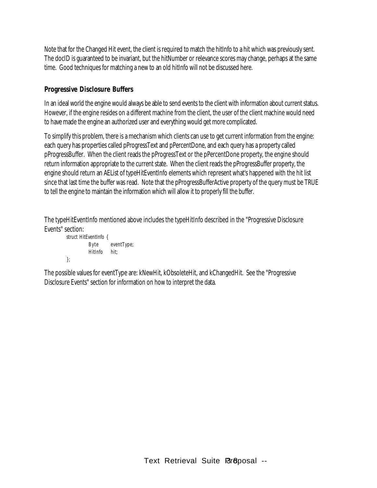Note that for the Changed Hit event, the client is required to match the hitInfo to a hit which was previously sent. The docID is guaranteed to be invariant, but the hitNumber or relevance scores may change, perhaps at the same time. Good techniques for matching a new to an old hitInfo will not be discussed here.

#### **Progressive Disclosure Buffers**

In an ideal world the engine would always be able to send events to the client with information about current status. However, if the engine resides on a different machine from the client, the user of the client machine would need to have made the engine an authorized user and everything would get more complicated.

To simplify this problem, there is a mechanism which clients can use to get current information from the engine: each query has properties called pProgressText and pPercentDone, and each query has a property called pProgressBuffer. When the client reads the pProgressText or the pPercentDone property, the engine should return information appropriate to the current state. When the client reads the pProgressBuffer property, the engine should return an AEList of typeHitEventInfo elements which represent what's happened with the hit list since that last time the buffer was read. Note that the pProgressBufferActive property of the query must be TRUE to tell the engine to maintain the information which will allow it to properly fill the buffer.

The typeHitEventInfo mentioned above includes the typeHitInfo described in the "Progressive Disclosure Events" section:

```
struct HitEventInfo {
         Byte eventType;
         HitInfo hit;
```
};

The possible values for eventType are: kNewHit, kObsoleteHit, and kChangedHit. See the "Progressive Disclosure Events" section for information on how to interpret the data.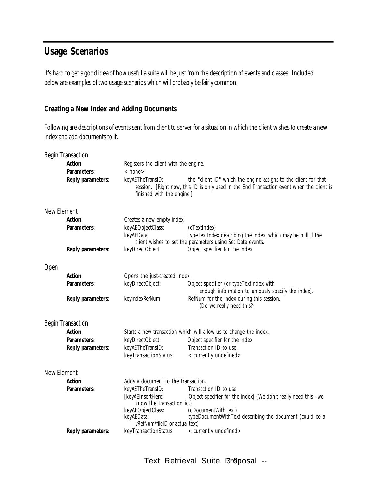### **Usage Scenarios**

It's hard to get a good idea of how useful a suite will be just from the description of events and classes. Included below are examples of two usage scenarios which will probably be fairly common.

#### **Creating a New Index and Adding Documents**

Following are descriptions of events sent from client to server for a situation in which the client wishes to create a new index and add documents to it.

|             | <b>Begin Transaction</b> |                                                                                         |                                                                                                                                                              |
|-------------|--------------------------|-----------------------------------------------------------------------------------------|--------------------------------------------------------------------------------------------------------------------------------------------------------------|
|             | Action:                  | Registers the client with the engine.                                                   |                                                                                                                                                              |
|             | Parameters:              | $<$ none $>$                                                                            |                                                                                                                                                              |
|             | Reply parameters:        | keyAETheTransID:<br>finished with the engine.]                                          | the "client ID" which the engine assigns to the client for that<br>session. [Right now, this ID is only used in the End Transaction event when the client is |
| New Element |                          |                                                                                         |                                                                                                                                                              |
|             | Action:                  | Creates a new empty index.                                                              |                                                                                                                                                              |
|             | Parameters:              | keyAEObjectClass:<br>keyAEData:                                                         | (cTextIndex)<br>typeTextIndex describing the index, which may be null if the<br>client wishes to set the parameters using Set Data events.                   |
|             | Reply parameters:        | keyDirectObject:                                                                        | Object specifier for the index                                                                                                                               |
| Open        |                          |                                                                                         |                                                                                                                                                              |
|             | Action:                  | Opens the just-created index.                                                           |                                                                                                                                                              |
|             | Parameters:              | keyDirectObject:                                                                        | Object specifier (or typeTextIndex with<br>enough information to uniquely specify the index).                                                                |
|             | Reply parameters:        | keyIndexRefNum:                                                                         | RefNum for the index during this session.<br>(Do we really need this?)                                                                                       |
|             | <b>Begin Transaction</b> |                                                                                         |                                                                                                                                                              |
|             | Action:                  |                                                                                         | Starts a new transaction which will allow us to change the index.                                                                                            |
|             | Parameters:              | keyDirectObject:                                                                        | Object specifier for the index                                                                                                                               |
|             | Reply parameters:        | keyAETheTransID:                                                                        | Transaction ID to use.                                                                                                                                       |
|             |                          | keyTransactionStatus:                                                                   | <currently undefined=""></currently>                                                                                                                         |
| New Element |                          |                                                                                         |                                                                                                                                                              |
|             | Action:                  | Adds a document to the transaction.                                                     |                                                                                                                                                              |
|             | Parameters:              | keyAETheTransID:<br>[keyAEInsertHere:<br>know the transaction id.)<br>keyAEObjectClass: | Transaction ID to use.<br>Object specifier for the index] (We don't really need this-- we<br>(cDocumentWithText)                                             |
|             |                          | keyAEData:<br>vRefNum/fileID or actual text)                                            | typeDocumentWithText describing the document (could be a                                                                                                     |
|             | Reply parameters:        | keyTransactionStatus:                                                                   | <currently undefined=""></currently>                                                                                                                         |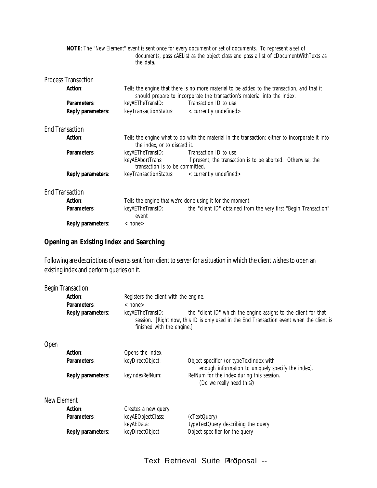| NOTE: The "New Element" event is sent once for every document or set of documents. To represent a set of<br>documents, pass cAEList as the object class and pass a list of cDocumentWithTexts as |                            |                                                                                                                                 |                                                                                                                                                                         |  |
|--------------------------------------------------------------------------------------------------------------------------------------------------------------------------------------------------|----------------------------|---------------------------------------------------------------------------------------------------------------------------------|-------------------------------------------------------------------------------------------------------------------------------------------------------------------------|--|
|                                                                                                                                                                                                  |                            | the data.                                                                                                                       |                                                                                                                                                                         |  |
|                                                                                                                                                                                                  | <b>Process Transaction</b> |                                                                                                                                 |                                                                                                                                                                         |  |
|                                                                                                                                                                                                  | <b>Action:</b>             |                                                                                                                                 | Tells the engine that there is no more material to be added to the transaction, and that it<br>should prepare to incorporate the transaction's material into the index. |  |
|                                                                                                                                                                                                  | Parameters:                | keyAETheTransID:                                                                                                                | Transaction ID to use.                                                                                                                                                  |  |
|                                                                                                                                                                                                  | Reply parameters:          | keyTransactionStatus:                                                                                                           | $\alpha$ currently undefined $>$                                                                                                                                        |  |
| <b>End Transaction</b>                                                                                                                                                                           |                            |                                                                                                                                 |                                                                                                                                                                         |  |
|                                                                                                                                                                                                  | <b>Action:</b>             | Tells the engine what to do with the material in the transaction: either to incorporate it into<br>the index, or to discard it. |                                                                                                                                                                         |  |
|                                                                                                                                                                                                  | Parameters:                | keyAETheTransID:                                                                                                                | Transaction ID to use.                                                                                                                                                  |  |
|                                                                                                                                                                                                  |                            | keyAEAbortTrans:<br>transaction is to be committed.                                                                             | if present, the transaction is to be aborted. Otherwise, the                                                                                                            |  |
|                                                                                                                                                                                                  | Reply parameters:          | keyTransactionStatus:                                                                                                           | < currently undefined                                                                                                                                                   |  |
| <b>End Transaction</b>                                                                                                                                                                           |                            |                                                                                                                                 |                                                                                                                                                                         |  |
|                                                                                                                                                                                                  | <b>Action:</b>             | Tells the engine that we're done using it for the moment.                                                                       |                                                                                                                                                                         |  |
|                                                                                                                                                                                                  | Parameters:                | keyAETheTransID:<br>event                                                                                                       | the "client ID" obtained from the very first "Begin Transaction"                                                                                                        |  |
|                                                                                                                                                                                                  | Reply parameters:          | $<$ none $>$                                                                                                                    |                                                                                                                                                                         |  |

### **Opening an Existing Index and Searching**

Following are descriptions of events sent from client to server for a situation in which the client wishes to open an existing index and perform queries on it.

|             | <b>Begin Transaction</b><br>Action:<br>Parameters:<br>Reply parameters: | Registers the client with the engine.<br>$<$ none $>$<br>keyAETheTransID:<br>finished with the engine.] | the "client ID" which the engine assigns to the client for that<br>session. [Right now, this ID is only used in the End Transaction event when the client is |
|-------------|-------------------------------------------------------------------------|---------------------------------------------------------------------------------------------------------|--------------------------------------------------------------------------------------------------------------------------------------------------------------|
| Open        |                                                                         |                                                                                                         |                                                                                                                                                              |
|             | Action:                                                                 | Opens the index.                                                                                        |                                                                                                                                                              |
|             | Parameters:                                                             | keyDirectObject:                                                                                        | Object specifier (or typeTextIndex with<br>enough information to uniquely specify the index).                                                                |
|             | Reply parameters:                                                       | keyIndexRefNum:                                                                                         | RefNum for the index during this session.<br>(Do we really need this?)                                                                                       |
| New Element |                                                                         |                                                                                                         |                                                                                                                                                              |
|             | Action:                                                                 | Creates a new query.                                                                                    |                                                                                                                                                              |
|             | Parameters:                                                             | keyAEObjectClass:<br>keyAEData:                                                                         | (cTextQuery)<br>typeTextQuery describing the query                                                                                                           |
|             | Reply parameters:                                                       | keyDirectObject:                                                                                        | Object specifier for the query                                                                                                                               |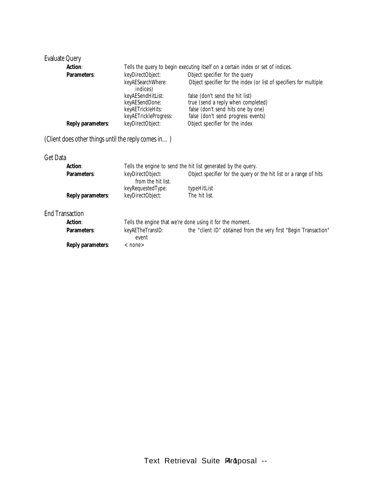| <b>Evaluate Query</b>                               |                                                                                 |                                                                    |  |
|-----------------------------------------------------|---------------------------------------------------------------------------------|--------------------------------------------------------------------|--|
| <b>Action:</b>                                      | Tells the query to begin executing itself on a certain index or set of indices. |                                                                    |  |
| Parameters:                                         | keyDirectObject:                                                                | Object specifier for the query                                     |  |
|                                                     | keyAESearchWhere:<br>indices)                                                   | Object specifier for the index (or list of specifiers for multiple |  |
|                                                     | keyAESendHitList:                                                               | false (don't send the hit list)                                    |  |
|                                                     | keyAESendDone:                                                                  | true (send a reply when completed)                                 |  |
|                                                     | keyAETrickleHits:                                                               | false (don't send hits one by one)                                 |  |
|                                                     | keyAETrickleProgress:                                                           | false (don't send progress events)                                 |  |
| Reply parameters:                                   | keyDirectObject:                                                                | Object specifier for the index                                     |  |
| (Client does other things until the reply comes in) |                                                                                 |                                                                    |  |
| Get Data                                            |                                                                                 |                                                                    |  |
| Action:                                             | Tells the engine to send the hit list generated by the query.                   |                                                                    |  |
| Parameters:                                         | keyDirectObject:<br>from the hit list.                                          | Object specifier for the query or the hit list or a range of hits  |  |
|                                                     | keyRequestedType:                                                               | typeHitList                                                        |  |
| Reply parameters:                                   | keyDirectObject:                                                                | The hit list.                                                      |  |
|                                                     |                                                                                 |                                                                    |  |
| <b>End Transaction</b>                              |                                                                                 |                                                                    |  |
| Action:                                             |                                                                                 | Tells the engine that we're done using it for the moment.          |  |
| Parameters:                                         | keyAETheTransID:<br>event                                                       | the "client ID" obtained from the very first "Begin Transaction"   |  |
| Reply parameters:                                   | $<$ none $>$                                                                    |                                                                    |  |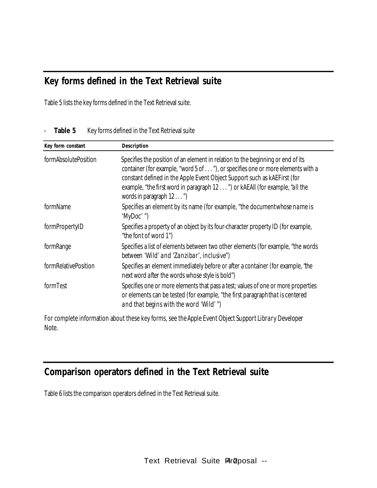### **Key forms defined in the Text Retrieval suite**

Table 5 lists the key forms defined in the Text Retrieval suite.

| Key form constant    | Description                                                                                                                                                                                                                                                                                                                                                |
|----------------------|------------------------------------------------------------------------------------------------------------------------------------------------------------------------------------------------------------------------------------------------------------------------------------------------------------------------------------------------------------|
| formAbsolutePosition | Specifies the position of an element in relation to the beginning or end of its<br>container (for example, "word 5 of "), or specifies one or more elements with a<br>constant defined in the Apple Event Object Support such as kAEFirst (for<br>example, "the first word in paragraph 12 ") or kAEAII (for example, "all the<br>words in paragraph 12 ") |
| formName             | Specifies an element by its name (for example, "the document whose name is<br>' $MyDoc'$ '')                                                                                                                                                                                                                                                               |
| formPropertyID       | Specifies a property of an object by its four-character property ID (for example,<br>"the font of word 1")                                                                                                                                                                                                                                                 |
| formRange            | Specifies a list of elements between two other elements (for example, "the words<br>between 'Wild' and 'Zanzibar', inclusive'')                                                                                                                                                                                                                            |
| formRelativePosition | Specifies an element immediately before or after a container (for example, "the<br><i>next</i> word <i>after</i> the words whose style is bold")                                                                                                                                                                                                           |
| formTest             | Specifies one or more elements that pass a test; values of one or more properties<br>or elements can be tested (for example, "the first paragraph that is centered<br>and that begins with the word 'Wild' ")                                                                                                                                              |

#### n **Table 5** Key forms defined in the Text Retrieval suite

For complete information about these key forms, see the *Apple Event Object Support Library Developer Note.*

## **Comparison operators defined in the Text Retrieval suite**

Table 6 lists the comparison operators defined in the Text Retrieval suite.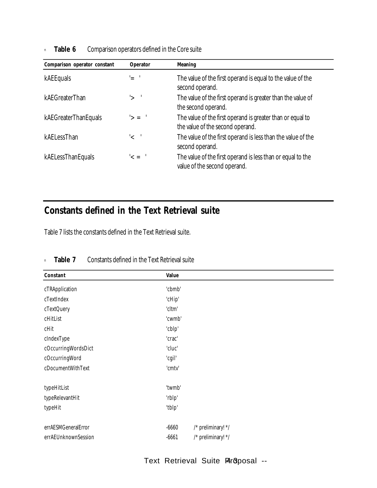**Table 6** Comparison operators defined in the Core suite

| Comparison operator constant | Operator        | Meaning                                                                                        |
|------------------------------|-----------------|------------------------------------------------------------------------------------------------|
| kAEEquals                    | '= '            | The value of the first operand is equal to the value of the<br>second operand.                 |
| kAEGreaterThan               | $'$ $\sim$ $'$  | The value of the first operand is greater than the value of<br>the second operand.             |
| kAEGreaterThanEquals         | $\leq$          | The value of the first operand is greater than or equal to<br>the value of the second operand. |
| kAELessThan                  | $\leq$          | The value of the first operand is less than the value of the<br>second operand.                |
| kAELessThanEquals            | $\leq$ = $\leq$ | The value of the first operand is less than or equal to the<br>value of the second operand.    |

### **Constants defined in the Text Retrieval suite**

Table 7 lists the constants defined in the Text Retrieval suite.

| Constant            | Value   |                    |
|---------------------|---------|--------------------|
| cTRApplication      | 'cbmb'  |                    |
| cTextIndex          | 'cHip'  |                    |
| cTextQuery          | 'cltm'  |                    |
| cHitList            | 'cwmb'  |                    |
| cHit                | 'cblp'  |                    |
| cIndexType          | 'crac'  |                    |
| cOccurringWordsDict | 'cluc'  |                    |
| cOccurringWord      | 'cgil'  |                    |
| cDocumentWithText   | 'cmtv'  |                    |
| typeHitList         | 'twmb'  |                    |
| typeRelevantHit     | 'rblp'  |                    |
| typeHit             | 'tblp'  |                    |
| errAESMGeneralError | $-6660$ | /* preliminary! */ |
| errAEUnknownSession | $-6661$ | /* preliminary! */ |

#### n **Table 7** Constants defined in the Text Retrieval suite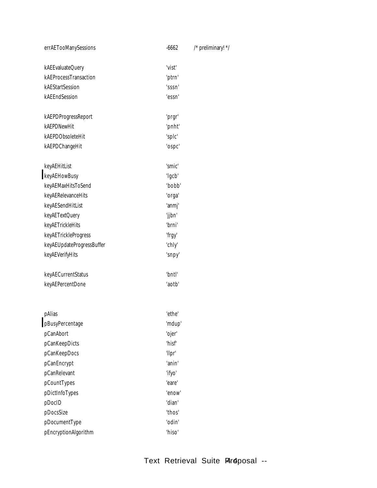| errAETooManySessions      | $-6662$          | /* preliminary! */ |
|---------------------------|------------------|--------------------|
| kAEEvaluateQuery          | 'vist'           |                    |
| kAEProcessTransaction     | 'ptrn'           |                    |
| kAEStartSession           | 'sssn'           |                    |
| kAEEndSession             | 'essn'           |                    |
| kAEPDProgressReport       |                  |                    |
| kAEPDNewHit               | 'prgr'<br>'pnht' |                    |
| kAEPDObsoleteHit          | 'splc'           |                    |
| kAEPDChangeHit            | 'ospc'           |                    |
|                           |                  |                    |
| keyAEHitList              | 'smic'           |                    |
| keyAEHowBusy              | 'lgcb'           |                    |
| keyAEMaxHitsToSend        | 'bobb'           |                    |
| keyAERelevanceHits        | 'orga'           |                    |
| keyAESendHitList          | 'anmj'           |                    |
| keyAETextQuery            | 'jjbn'           |                    |
| keyAETrickleHits          | 'brni'           |                    |
| keyAETrickleProgress      | 'frgy'           |                    |
| keyAEUpdateProgressBuffer | 'chly'           |                    |
| keyAEVerifyHits           | 'snpy'           |                    |
| keyAECurrentStatus        | 'bntl'           |                    |
| keyAEPercentDone          | 'aotb'           |                    |
|                           |                  |                    |
| pAlias                    | 'ethe'           |                    |
| pBusyPercentage           | 'mdup'           |                    |
| pCanAbort                 | 'ojer'           |                    |
| pCanKeepDicts             | 'hisf'           |                    |
| pCanKeepDocs              | 'llpr'           |                    |
| pCanEncrypt               | 'anin'           |                    |
| pCanRelevant              | 'ifyo'           |                    |
| pCountTypes               | 'eare'           |                    |
| pDictInfoTypes            | 'enow'           |                    |
| pDocID                    | 'dian'           |                    |
| pDocsSize                 | 'thos'           |                    |
| pDocumentType             | 'odin'           |                    |

pEncryptionAlgorithm 'hiso'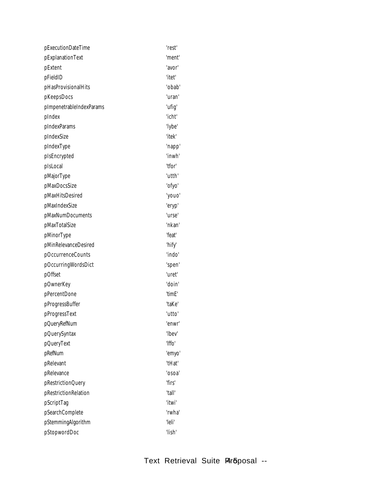| pExecutionDateTime       | 'rest' |
|--------------------------|--------|
| pExplanationText         | 'ment' |
| pExtent                  | 'avor' |
| pFieldID                 | "itet" |
| pHasProvisionalHits      | 'obab' |
| pKeepsDocs               | 'uran' |
| pImpenetrableIndexParams | 'ufig' |
| pIndex                   | 'icht' |
| pIndexParams             | 'lybe' |
| pIndexSize               | 'itek' |
| pIndexType               | 'napp' |
| pIsEncrypted             | 'inwh' |
| pIsLocal                 | "tfor" |
| pMajorType               | 'utth' |
| pMaxDocsSize             | 'ofyo' |
| pMaxHitsDesired          | 'youo' |
| pMaxIndexSize            | 'eryp' |
| pMaxNumDocuments         | 'urse' |
| pMaxTotalSize            | 'nkan' |
| pMinorType               | 'feat' |
| pMinRelevanceDesired     | 'hify' |
| pOccurrenceCounts        | 'indo' |
| pOccurringWordsDict      | 'spen' |
| pOffset                  | 'uret' |
| pOwnerKey                | 'doin' |
| pPercentDone             | 'timE' |
| pProgressBuffer          | 'taKe' |
| pProgressText            | 'utto' |
| pQueryRefNum             | 'enwr' |
| pQuerySyntax             | 'lbev' |
| pQueryText               | 'Iffo' |
| pRefNum                  | 'emyo' |
| pRelevant                | 'tHat' |
| pRelevance               | 'osoa' |
| pRestrictionQuery        | 'firs' |
| pRestrictionRelation     | "tall" |
| pScriptTag               | "itwi  |
| pSearchComplete          | 'rwha' |
| pStemmingAlgorithm       | 'leli' |
| pStopwordDoc             | 'lish' |